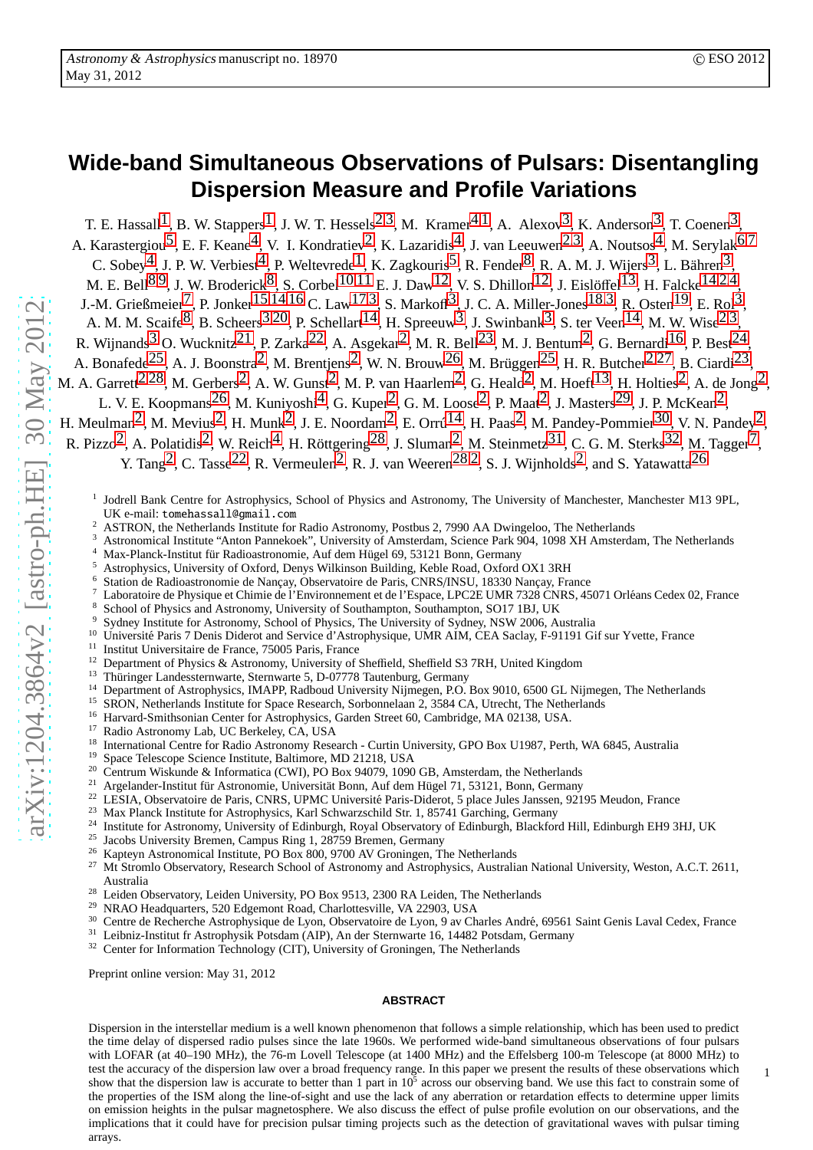# **Wide-band Simultaneous Observations of Pulsars: Disentangling Dispersion Measure and Profile Variations**

T. E. Hassall<sup>1</sup>, B. W. Stappers<sup>1</sup>, J. W. T. Hessels<sup>[2](#page-0-1),3</sup>, M. Kramer<sup>[4](#page-0-3),1</sup>, A. Alexov<sup>[3](#page-0-2)</sup>, K. Anderson<sup>3</sup>, T. Coenen<sup>3</sup>, A. Karastergiou<sup>[5](#page-0-4)</sup>, E. F. Keane<sup>4</sup>, V. I. Kondratiev<sup>2</sup>, K. Lazaridis<sup>4</sup>, J. van Leeuwen<sup>[2,](#page-0-1)3</sup>, A. Noutsos<sup>4</sup>, M. Serylak<sup>[6](#page-0-5),[7](#page-0-6)</sup>

C. Sobey<sup>4</sup>, J. P. W. Verbiest<sup>4</sup>, P. Weltevrede<sup>1</sup>, K. Zagkouris<sup>5</sup>, R. Fender<sup>8</sup>, R. A. M. J. Wijers<sup>[3](#page-0-2)</sup>, L. Bähren<sup>3</sup>,

M. E. Bell<sup>[8](#page-0-7),9</sup>, J. W. Broderick<sup>8</sup>, S. Corbel<sup>10,[11](#page-0-10)</sup> E. J. Daw<sup>1[2](#page-0-1)</sup>, V. S. Dhillon<sup>12</sup>, J. Eislöffel<sup>13</sup>, H. Falcke<sup>1[4](#page-0-3),2,4</sup>,

J.-M. Grießmeier<sup>7</sup>, P. Jonker<sup>15,14,16</sup> C. Law<sup>1[7,](#page-0-6)[3](#page-0-2)</sup>, S. Markoff<sup>3</sup>, J. C. A. Miller-Jones<sup>18,3</sup>, R. Osten<sup>19</sup>, E. Rol<sup>3</sup>,

A. M. M. Scaife<sup>8</sup>, B. Scheers<sup>[3](#page-0-2),[2](#page-0-1)0</sup>, P. Schellart<sup>14</sup>, H. Spreeuw<sup>3</sup>, J. Swinbank<sup>3</sup>, S. ter Veen<sup>14</sup>, M. W. Wise<sup>2,3</sup>,

R. Wijnands<sup>[3](#page-0-2)</sup> O. Wucknitz<sup>21</sup>, P. Zarka<sup>22</sup>, A. Asgekar<sup>2</sup>, M. R. Bell<sup>23</sup>, M. J. Bentum<sup>2</sup>, G. Bernardi<sup>16</sup>, P. Best<sup>24</sup> , A. Bonafede<sup>25</sup>, A. J. Boonstra<sup>2</sup>, M. Brentjens<sup>2</sup>, W. N. Brouw<sup>26</sup>, M. Brüggen<sup>25</sup>, H. R. Butcher<sup>[2,](#page-0-1)[2](#page-0-1)7</sup>, B. Ciardi<sup>23</sup>,

M. A. Garrett<sup>[2](#page-0-1),28</sup>, M. Gerbers<sup>2</sup>, A. W. Gunst<sup>2</sup>, M. P. van Haarlem<sup>2</sup>, G. Heald<sup>2</sup>, M. Hoeft<sup>13</sup>, H. Holties<sup>2</sup>, A. de Jong<sup>2</sup>,

L. V. E. Koopmans<sup>[2](#page-0-1)6</sup>, M. Kuniyoshi<sup>4</sup>, G. Kuper<sup>2</sup>, G. M. Loose<sup>2</sup>, P. Maat<sup>2</sup>, J. Masters<sup>29</sup>, J. P. McKean<sup>2</sup>, H. Meulman<sup>[2](#page-0-1)</sup>, M. Mevius<sup>2</sup>, H. Munk<sup>2</sup>, J. E. Noordam<sup>2</sup>, E. Orrú<sup>14</sup>, H. Paas<sup>2</sup>, M. Pandey-Pommier<sup>30</sup>, V. N. Pandey<sup>2</sup>, R. Pizzo<sup>2</sup>, A. Polatidis<sup>2</sup>, W. Reich<sup>4</sup>, H. Röttgering<sup>28</sup>, J. Sluman<sup>2</sup>, M. Steinmetz<sup>31</sup>, C. G. M. Sterks<sup>32</sup>, M. Tagger<sup>[7](#page-0-6)</sup>,

Y. Tang<sup>2</sup>, C. Tasse<sup>22</sup>, R. Vermeulen<sup>2</sup>, R. J. van Weeren<sup>28,2</sup>, S. J. Wijnholds<sup>2</sup>, and S. Yatawatta<sup>26</sup>

- <sup>1</sup> Jodrell Bank Centre for Astrophysics, School of Physics and Astronomy, The University of Manchester, Manchester M13 9PL, UK e-mail: tomehassall@gmail.com
- <span id="page-0-2"></span><span id="page-0-1"></span><sup>2</sup> ASTRON, the Netherlands Institute for Radio Astronomy, Postbus 2, 7990 AA Dwingeloo, The Netherlands<br> $\frac{3}{2}$  Astronomical Institute "Anton Pannakoak". University of Ameterlands Seinese Bark 004, 1008 VH Ameterda
- <span id="page-0-3"></span><sup>3</sup> Astronomical Institute "Anton Pannekoek", University of Amsterdam, Science Park 904, 1098 XH Amsterdam, The Netherlands  $\frac{4 \text{ Mox}}{2}$  Planck Institut für Bediesetronomic, Auf dem Hürel 60, 52121 Benn, Germany
- <span id="page-0-4"></span><sup>4</sup> Max-Planck-Institut für Radioastronomie, Auf dem Hügel 69, 53121 Bonn, Germany
- <sup>5</sup> Astrophysics, University of Oxford, Denys Wilkinson Building, Keble Road, Oxford OX1 3RH<br><sup>6</sup> Station de Redisectronomia de Napeev, Obertuatoire de Peris, CNB S/INSU, 18220 Napeev, Fra
- <span id="page-0-5"></span><sup>6</sup> Station de Radioastronomie de Nançay, Observatoire de Paris, CNRS/INSU, 18330 Nançay, France<br>
<sup>7</sup> Jackson de Planciaus et Chimia de l'Empirement et de l'Empere LDCOE UMP 7228 CNDS, 45
- <span id="page-0-7"></span><span id="page-0-6"></span> $^7$  Laboratoire de Physique et Chimie de l'Environnement et de l'Espace, LPC2E UMR 7328 CNRS, 45071 Orléans Cedex 02, France
- 8 School of Physics and Astronomy, University of Southampton, Southampton, SO17 1BJ, UK<br>8 School of Physics and Astronomy, University of Southampton, Southampton, SO17 1BJ, UK<br>9 School of Physics for Astronomy, School of
- <span id="page-0-9"></span><span id="page-0-8"></span><sup>9</sup> Sydney Institute for Astronomy, School of Physics, The University of Sydney, NSW 2006, Australia
- Université Paris 7 Denis Diderot and Service d'Astrophysique, UMR AIM, CEA Saclay, F-91191 Gif sur Yvette, France
- <span id="page-0-10"></span><sup>11</sup> Institut Universitaire de France, 75005 Paris, France<br><sup>12</sup> Department of Physics & Astronomy University of the
- <span id="page-0-12"></span><span id="page-0-11"></span><sup>12</sup> Department of Physics & Astronomy, University of Sheffield, Sheffield S3 7RH, United Kingdom
- <span id="page-0-13"></span><sup>13</sup> Thüringer Landessternwarte, Sternwarte 5, D-07778 Tautenburg, Germany
- <sup>14</sup> Department of Astrophysics, IMAPP, Radboud University Nijmegen, P.O. Box 9010, 6500 GL Nijmegen, The Netherlands
- <span id="page-0-15"></span><span id="page-0-14"></span><sup>15</sup> SRON, Netherlands Institute for Space Research, Sorbonnelaan 2, 3584 CA, Utrecht, The Netherlands
- <span id="page-0-16"></span><sup>16</sup> Harvard-Smithsonian Center for Astrophysics, Garden Street 60, Cambridge, MA 02138, USA.
- <span id="page-0-17"></span><sup>17</sup> Radio Astronomy Lab, UC Berkeley, CA, USA<br><sup>18</sup> International Contra for Bedio Astronomy Beca
- <span id="page-0-18"></span><sup>18</sup> International Centre for Radio Astronomy Research - Curtin University, GPO Box U1987, Perth, WA 6845, Australia
- <sup>19</sup> Space Telescope Science Institute, Baltimore, MD 21218, USA
- <span id="page-0-20"></span><span id="page-0-19"></span><sup>20</sup> Centrum Wiskunde & Informatica (CWI), PO Box 94079, 1090 GB, Amsterdam, the Netherlands
- <span id="page-0-21"></span><sup>21</sup> Argelander-Institut für Astronomie, Universität Bonn, Auf dem Hügel 71, 53121, Bonn, Germany<br><sup>22</sup> LESLA, Observatoire de Paris, CNRS, UPMC Université Paris, Diderot, 5 place Jules Janssen, 921
- <span id="page-0-22"></span><sup>22</sup> LESIA, Observatoire de Paris, CNRS, UPMC Université Paris-Diderot, 5 place Jules Janssen, 92195 Meudon, France<br><sup>23</sup> May Planek Institute for Astrophysics, Keel Schwarzschild Str. 1, 95741 Cerchine, Cormony
- Max Planck Institute for Astrophysics, Karl Schwarzschild Str. 1, 85741 Garching, Germany
- <span id="page-0-24"></span><span id="page-0-23"></span><sup>24</sup> Institute for Astronomy, University of Edinburgh, Royal Observatory of Edinburgh, Blackford Hill, Edinburgh EH9 3HJ, UK
- <span id="page-0-25"></span><sup>25</sup> Jacobs University Bremen, Campus Ring 1, 28759 Bremen, Germany<br><sup>26</sup> Kentaun Astronomical Institute BO Box 800, 0700 AV Grovingen, The
- <span id="page-0-26"></span><sup>26</sup> Kapteyn Astronomical Institute, PO Box 800, 9700 AV Groningen, The Netherlands<br><sup>27</sup> Mt Stromlo Observatory, Besearch School of Astronomy and Astronomics, Australia
- <sup>27</sup> Mt Stromlo Observatory, Research School of Astronomy and Astrophysics, Australian National University, Weston, A.C.T. 2611, Australia
- <span id="page-0-28"></span><span id="page-0-27"></span><sup>28</sup> Leiden Observatory, Leiden University, PO Box 9513, 2300 RA Leiden, The Netherlands
- <span id="page-0-29"></span><sup>29</sup> NRAO Headquarters, 520 Edgemont Road, Charlottesville, VA 22903, USA
- Centre de Recherche Astrophysique de Lyon, Observatoire de Lyon, 9 av Charles André, 69561 Saint Genis Laval Cedex, France
- <span id="page-0-30"></span><span id="page-0-0"></span><sup>31</sup> Leibniz-Institut fr Astrophysik Potsdam (AIP), An der Sternwarte 16, 14482 Potsdam, Germany
- <sup>32</sup> Center for Information Technology (CIT), University of Groningen, The Netherlands

Preprint online version: May 31, 2012

### **ABSTRACT**

Dispersion in the interstellar medium is a well known phenomenon that follows a simple relationship, which has been used to predict the time delay of dispersed radio pulses since the late 1960s. We performed wide-band simultaneous observations of four pulsars with LOFAR (at 40-190 MHz), the 76-m Lovell Telescope (at 1400 MHz) and the Effelsberg 100-m Telescope (at 8000 MHz) to test the accuracy of the dispersion law over a broad frequency range. In this paper we present the results of these observations which show that the dispersion law is accurate to better than 1 part in  $10<sup>5</sup>$  across our observing band. We use this fact to constrain some of the properties of the ISM along the line-of-sight and use the lack of any aberration or retardation e ffects to determine upper limits on emission heights in the pulsar magnetosphere. We also discuss the e ffect of pulse profile evolution on our observations, and the implications that it could have for precision pulsar timing projects such as the detection of gravitational waves with pulsar timing arrays.

1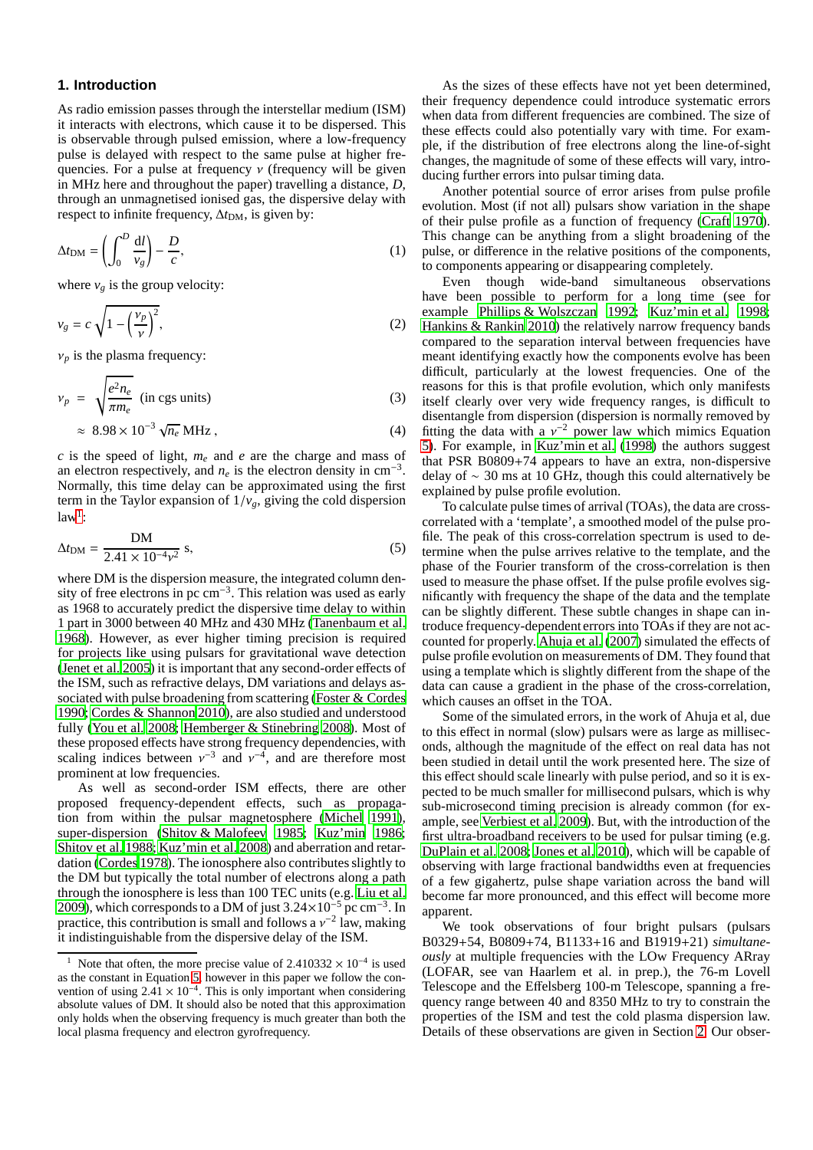# **1. Introduction**

As radio emission passes through the interstellar medium (ISM) it interacts with electrons, which cause it to be dispersed. This is observable through pulsed emission, where a low-frequency pulse is delayed with respect to the same pulse at higher frequencies. For a pulse at frequency  $\nu$  (frequency will be given in MHz here and throughout the paper) travelling a distance, *D*, through an unmagnetised ionised gas, the dispersive delay with respect to infinite frequency, Δ*t*<sub>DM</sub>, is given by:

<span id="page-1-2"></span>
$$
\Delta t_{\rm DM} = \left(\int_0^D \frac{\mathrm{d}l}{v_g}\right) - \frac{D}{c},\tag{1}
$$

where  $v_g$  is the group velocity:

$$
v_g = c \sqrt{1 - \left(\frac{\nu_p}{\nu}\right)^2},\tag{2}
$$

 $v_p$  is the plasma frequency:

$$
v_p = \sqrt{\frac{e^2 n_e}{\pi m_e}} \text{ (in cgs units)}
$$
 (3)

$$
\approx 8.98 \times 10^{-3} \sqrt{n_e} \, \text{MHz} \,, \tag{4}
$$

*c* is the speed of light, *m<sup>e</sup>* and *e* are the charge and mass of an electron respectively, and  $n_e$  is the electron density in cm<sup>-3</sup>. Normally, this time delay can be approximated using the first term in the Taylor expansion of  $1/v<sub>g</sub>$ , giving the cold dispersion  $law<sup>1</sup>$  $law<sup>1</sup>$  $law<sup>1</sup>$ :

<span id="page-1-1"></span>
$$
\Delta t_{\rm DM} = \frac{\rm DM}{2.41 \times 10^{-4} v^2} \text{ s},\tag{5}
$$

where DM is the dispersion measure, the integrated column density of free electrons in pc  $cm^{-3}$ . This relation was used as early as 1968 to accurately predict the dispersive time delay to within 1 part in 3000 between 40 MHz and 430 MHz [\(Tanenbaum et al.](#page-17-0) [1968](#page-17-0)). However, as ever higher timing precision is required for projects like using pulsars for gravitational wave detection [\(Jenet et al. 2005\)](#page-17-1) it is important that any second-order effects of the ISM, such as refractive delays, DM variations and delays associated with pulse broadening from scattering [\(Foster & Cordes](#page-17-2) [1990](#page-17-2); [Cordes & Shannon 2010\)](#page-17-3), are also studied and understood fully [\(You et al. 2008;](#page-17-4) [Hemberger & Stinebring 2008](#page-17-5)). Most of these proposed effects have strong frequency dependencies, with scaling indices between  $v^{-3}$  and  $v^{-4}$ , and are therefore most prominent at low frequencies.

As well as second-order ISM effects, there are other proposed frequency-dependent effects, such as propagation from within the pulsar magnetosphere [\(Michel 1991](#page-17-6)), super-dispersion [\(Shitov & Malofeev 1985;](#page-17-7) [Kuz'min 1986](#page-17-8); [Shitov et al. 1988;](#page-17-9) [Kuz'min et al. 2008\)](#page-17-10) and aberration and retardation [\(Cordes 1978\)](#page-17-11). The ionosphere also contributes slightly to the DM but typically the total number of electrons along a path through the ionosphere is less than 100 TEC units (e.g. [Liu et](#page-17-12) al. [2009](#page-17-12)), which corresponds to a DM of just  $3.24 \times 10^{-5}$  pc cm<sup>-3</sup>. In practice, this contribution is small and follows a  $v^{-2}$  law, making it indistinguishable from the dispersive delay of the ISM.

As the sizes of these effects have not yet been determined, their frequency dependence could introduce systematic errors when data from different frequencies are combined. The size of these effects could also potentially vary with time. For example, if the distribution of free electrons along the line-of-sight changes, the magnitude of some of these effects will vary, introducing further errors into pulsar timing data.

Another potential source of error arises from pulse profile evolution. Most (if not all) pulsars show variation in the shape of their pulse profile as a function of frequency [\(Craft 1970\)](#page-17-13). This change can be anything from a slight broadening of the pulse, or difference in the relative positions of the components, to components appearing or disappearing completely.

Even though wide-band simultaneous observations have been possible to perform for a long time (see for example [Phillips & Wolszczan 1992;](#page-17-14) [Kuz'min et al. 1998;](#page-17-15) [Hankins & Rankin 2010\)](#page-17-16) the relatively narrow frequency bands compared to the separation interval between frequencies have meant identifying exactly how the components evolve has been difficult, particularly at the lowest frequencies. One of the reasons for this is that profile evolution, which only manifests itself clearly over very wide frequency ranges, is difficult to disentangle from dispersion (dispersion is normally removed by fitting the data with a  $v^{-2}$  power law which mimics Equation [5\)](#page-1-1). For example, in [Kuz'min et al. \(1998](#page-17-15)) the authors suggest that PSR B0809+74 appears to have an extra, non-dispersive delay of ∼ 30 ms at 10 GHz, though this could alternatively be explained by pulse profile evolution.

To calculate pulse times of arrival (TOAs), the data are crosscorrelated with a 'template', a smoothed model of the pulse profile. The peak of this cross-correlation spectrum is used to determine when the pulse arrives relative to the template, and the phase of the Fourier transform of the cross-correlation is then used to measure the phase offset. If the pulse profile evolves significantly with frequency the shape of the data and the template can be slightly different. These subtle changes in shape can introduce frequency-dependent errors into TOAs if they are not accounted for properly. [Ahuja et al. \(2007](#page-17-17)) simulated the effects of pulse profile evolution on measurements of DM. They found that using a template which is slightly different from the shape of the data can cause a gradient in the phase of the cross-correlation, which causes an offset in the TOA.

Some of the simulated errors, in the work of Ahuja et al, due to this effect in normal (slow) pulsars were as large as milliseconds, although the magnitude of the effect on real data has not been studied in detail until the work presented here. The size of this effect should scale linearly with pulse period, and so it is expected to be much smaller for millisecond pulsars, which is why sub-microsecond timing precision is already common (for example, see [Verbiest et al. 2009](#page-17-18)). But, with the introduction of the first ultra-broadband receivers to be used for pulsar timing (e.g. [DuPlain et al. 2008;](#page-17-19) [Jones et al. 2010\)](#page-17-20), which will be capable of observing with large fractional bandwidths even at frequencies of a few gigahertz, pulse shape variation across the band will become far more pronounced, and this effect will become more apparent.

We took observations of four bright pulsars (pulsars B0329+54, B0809+74, B1133+16 and B1919+21) *simultaneously* at multiple frequencies with the LOw Frequency ARray (LOFAR, see van Haarlem et al. in prep.), the 76-m Lovell Telescope and the Effelsberg 100-m Telescope, spanning a frequency range between 40 and 8350 MHz to try to constrain the properties of the ISM and test the cold plasma dispersion law. Details of these observations are given in Section [2.](#page-2-0) Our obser-

<span id="page-1-0"></span><sup>&</sup>lt;sup>1</sup> Note that often, the more precise value of  $2.410332 \times 10^{-4}$  is used as the constant in Equation [5,](#page-1-1) however in this paper we follow the convention of using  $2.41 \times 10^{-4}$ . This is only important when considering absolute values of DM. It should also be noted that this approximation only holds when the observing frequency is much greater than both the local plasma frequency and electron gyrofrequency.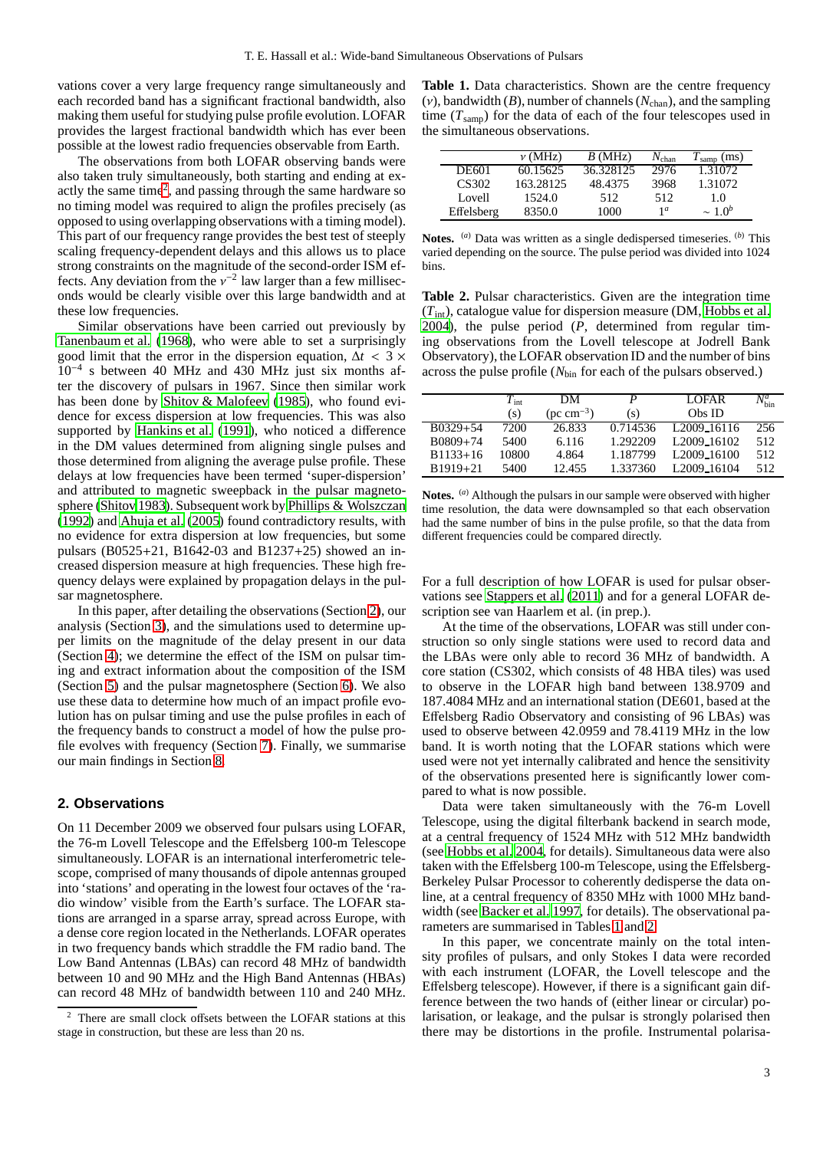vations cover a very large frequency range simultaneously and each recorded band has a significant fractional bandwidth, also making them useful for studying pulse profile evolution. LOFAR provides the largest fractional bandwidth which has ever been possible at the lowest radio frequencies observable from Earth.

The observations from both LOFAR observing bands were also taken truly simultaneously, both starting and ending at ex-actly the same time<sup>[2](#page-2-1)</sup>, and passing through the same hardware so no timing model was required to align the profiles precisely (as opposed to using overlapping observations with a timing model). This part of our frequency range provides the best test of steeply scaling frequency-dependent delays and this allows us to place strong constraints on the magnitude of the second-order ISM effects. Any deviation from the  $v^{-2}$  law larger than a few milliseconds would be clearly visible over this large bandwidth and at these low frequencies.

Similar observations have been carried out previously by [Tanenbaum et al.](#page-17-0) [\(1968\)](#page-17-0), who were able to set a surprisingly good limit that the error in the dispersion equation, ∆*t* < 3 × 10−<sup>4</sup> s between 40 MHz and 430 MHz just six months after the discovery of pulsars in 1967. Since then similar work has been done by [Shitov & Malofeev](#page-17-7) [\(1985\)](#page-17-7), who found evidence for excess dispersion at low frequencies. This was also supported by [Hankins et al. \(1991\)](#page-17-21), who noticed a difference in the DM values determined from aligning single pulses and those determined from aligning the average pulse profile. These delays at low frequencies have been termed 'super-dispersion' and attributed to magnetic sweepback in the pulsar magnetosphere [\(Shitov 1983](#page-17-22)). Subsequent work by [Phillips & Wolszczan](#page-17-14) [\(1992\)](#page-17-14) and [Ahuja et al.](#page-17-23) [\(2005\)](#page-17-23) found contradictory results, with no evidence for extra dispersion at low frequencies, but some pulsars (B0525+21, B1642-03 and B1237+25) showed an increased dispersion measure at high frequencies. These high frequency delays were explained by propagation delays in the pulsar magnetosphere.

In this paper, after detailing the observations (Section [2\)](#page-2-0), our analysis (Section [3\)](#page-3-0), and the simulations used to determine upper limits on the magnitude of the delay present in our data (Section [4\)](#page-5-0); we determine the effect of the ISM on pulsar timing and extract information about the composition of the ISM (Section [5\)](#page-6-0) and the pulsar magnetosphere (Section [6\)](#page-8-0). We also use these data to determine how much of an impact profile evolution has on pulsar timing and use the pulse profiles in each of the frequency bands to construct a model of how the pulse profile evolves with frequency (Section [7\)](#page-10-0). Finally, we summarise our main findings in Section [8.](#page-15-0)

# <span id="page-2-0"></span>**2. Observations**

On 11 December 2009 we observed four pulsars using LOFAR, the 76-m Lovell Telescope and the Effelsberg 100-m Telescope simultaneously. LOFAR is an international interferometric telescope, comprised of many thousands of dipole antennas grouped into 'stations' and operating in the lowest four octaves of the 'radio window' visible from the Earth's surface. The LOFAR stations are arranged in a sparse array, spread across Europe, with a dense core region located in the Netherlands. LOFAR operates in two frequency bands which straddle the FM radio band. The Low Band Antennas (LBAs) can record 48 MHz of bandwidth between 10 and 90 MHz and the High Band Antennas (HBAs) can record 48 MHz of bandwidth between 110 and 240 MHz.

<span id="page-2-2"></span>**Table 1.** Data characteristics. Shown are the centre frequency (ν), bandwidth (*B*), number of channels (*N*chan), and the sampling time  $(T_{\text{samp}})$  for the data of each of the four telescopes used in the simultaneous observations.

|            | $\nu$ (MHz) | B(MHz)    | $N_{\rm chan}$     | $T_{\text{samp}}$ (ms) |
|------------|-------------|-----------|--------------------|------------------------|
| DE601      | 60.15625    | 36.328125 | 2976               | 1.31072                |
| CS302      | 163.28125   | 48.4375   | 3968               | 1.31072                |
| Lovell     | 1524.0      | 512       | 512                | 1.0                    |
| Effelsberg | 8350.0      | 1000      | $1^{\mathfrak{a}}$ | $\sim 10^b$            |

**Notes.** (*a*) Data was written as a single dedispersed timeseries. (*b*) This varied depending on the source. The pulse period was divided into 1024 bins.

<span id="page-2-3"></span>**Table 2.** Pulsar characteristics. Given are the integration time  $(T_{\text{int}})$ , catalogue value for dispersion measure (DM, [Hobbs et al.](#page-17-24) [2004\)](#page-17-24), the pulse period (*P*, determined from regular timing observations from the Lovell telescope at Jodrell Bank Observatory), the LOFAR observation ID and the number of bins across the pulse profile (*N*bin for each of the pulsars observed.)

|            | $T_{\rm int}$ | DМ          | P        | <b>LOFAR</b>             | $N_{\text{bin}}^a$ |
|------------|---------------|-------------|----------|--------------------------|--------------------|
|            | (s)           | $(pc cm-3)$ | (S)      | Obs ID                   |                    |
| $B0329+54$ | 7200          | 26.833      | 0.714536 | L <sub>2009</sub> 16116  | 256                |
| B0809+74   | 5400          | 6.116       | 1.292209 | L <sub>2009</sub> _16102 | 512                |
| $B1133+16$ | 10800         | 4.864       | 1.187799 | L <sub>2009</sub> _16100 | 512                |
| $B1919+21$ | 5400          | 12.455      | 1.337360 | L <sub>2009</sub> 16104  | 512                |

**Notes.** (*a*) Although the pulsars in our sample were observed with higher time resolution, the data were downsampled so that each observation had the same number of bins in the pulse profile, so that the data from different frequencies could be compared directly.

For a full description of how LOFAR is used for pulsar observations see [Stappers et al. \(2011\)](#page-17-25) and for a general LOFAR description see van Haarlem et al. (in prep.).

At the time of the observations, LOFAR was still under construction so only single stations were used to record data and the LBAs were only able to record 36 MHz of bandwidth. A core station (CS302, which consists of 48 HBA tiles) was used to observe in the LOFAR high band between 138.9709 and 187.4084 MHz and an international station (DE601, based at the Effelsberg Radio Observatory and consisting of 96 LBAs) was used to observe between 42.0959 and 78.4119 MHz in the low band. It is worth noting that the LOFAR stations which were used were not yet internally calibrated and hence the sensitivity of the observations presented here is significantly lower compared to what is now possible.

Data were taken simultaneously with the 76-m Lovell Telescope, using the digital filterbank backend in search mode, at a central frequency of 1524 MHz with 512 MHz bandwidth (see [Hobbs et al. 2004,](#page-17-24) for details). Simultaneous data were also taken with the Effelsberg 100-m Telescope, using the Effelsberg-Berkeley Pulsar Processor to coherently dedisperse the data online, at a central frequency of 8350 MHz with 1000 MHz bandwidth (see [Backer et al. 1997,](#page-17-26) for details). The observational parameters are summarised in Tables [1](#page-2-2) and [2.](#page-2-3)

In this paper, we concentrate mainly on the total intensity profiles of pulsars, and only Stokes I data were recorded with each instrument (LOFAR, the Lovell telescope and the Effelsberg telescope). However, if there is a significant gain difference between the two hands of (either linear or circular) polarisation, or leakage, and the pulsar is strongly polarised then there may be distortions in the profile. Instrumental polarisa-

<span id="page-2-1"></span>There are small clock offsets between the LOFAR stations at this stage in construction, but these are less than 20 ns.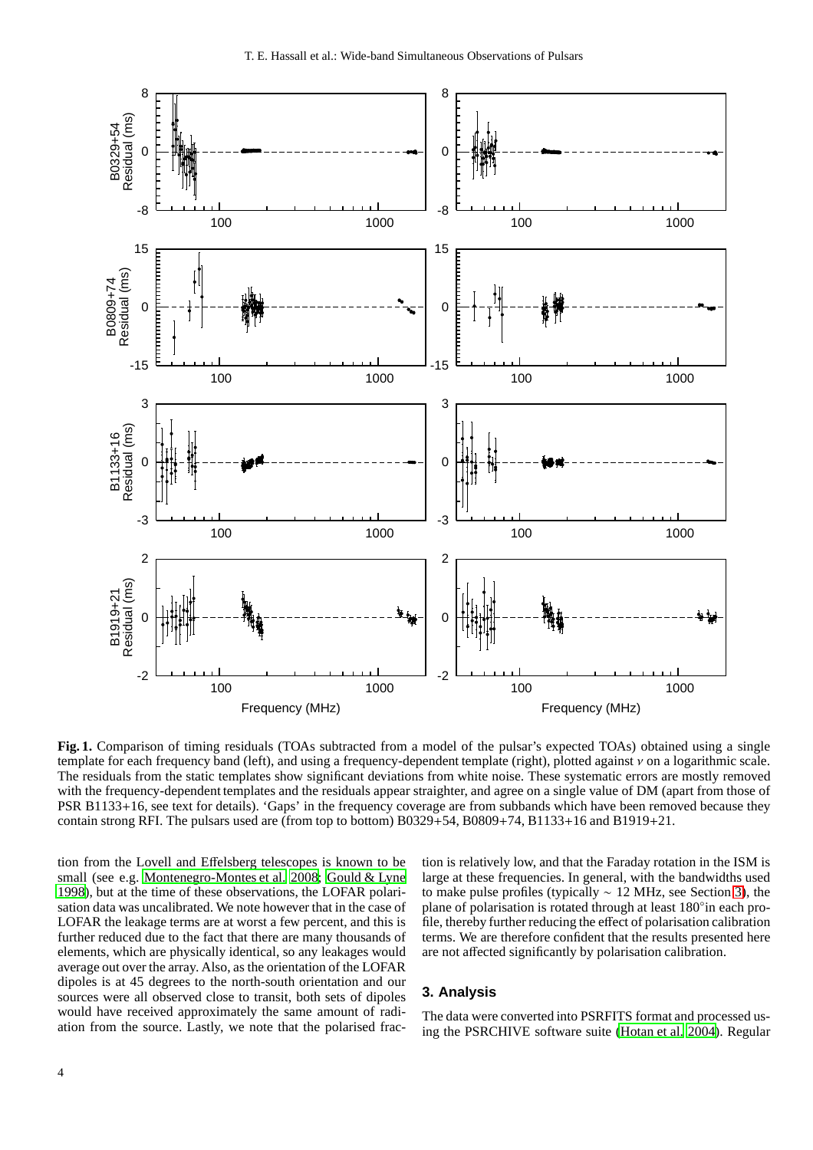

<span id="page-3-1"></span>**Fig. 1.** Comparison of timing residuals (TOAs subtracted from a model of the pulsar's expected TOAs) obtained using a single template for each frequency band (left), and using a frequency-dependent template (right), plotted against ν on a logarithmic scale. The residuals from the static templates show significant deviations from white noise. These systematic errors are mostly removed with the frequency-dependent templates and the residuals appear straighter, and agree on a single value of DM (apart from those of PSR B1133+16, see text for details). 'Gaps' in the frequency coverage are from subbands which have been removed because they contain strong RFI. The pulsars used are (from top to bottom) B0329+54, B0809+74, B1133+16 and B1919+21.

tion from the Lovell and Effelsberg telescopes is known to be small (see e.g. [Montenegro-Montes et al. 2008;](#page-17-27) [Gould & Lyne](#page-17-28) [1998](#page-17-28)), but at the time of these observations, the LOFAR polarisation data was uncalibrated. We note however that in the case of LOFAR the leakage terms are at worst a few percent, and this is further reduced due to the fact that there are many thousands of elements, which are physically identical, so any leakages would average out over the array. Also, as the orientation of the LOFAR dipoles is at 45 degrees to the north-south orientation and our sources were all observed close to transit, both sets of dipoles would have received approximately the same amount of radiation from the source. Lastly, we note that the polarised fraction is relatively low, and that the Faraday rotation in the ISM is large at these frequencies. In general, with the bandwidths used to make pulse profiles (typically ∼ 12 MHz, see Section [3\)](#page-3-0), the plane of polarisation is rotated through at least 180°in each profile, thereby further reducing the effect of polarisation calibration terms. We are therefore confident that the results presented here are not affected significantly by polarisation calibration.

# <span id="page-3-0"></span>**3. Analysis**

The data were converted into PSRFITS format and processed using the PSRCHIVE software suite [\(Hotan et al. 2004\)](#page-17-29). Regular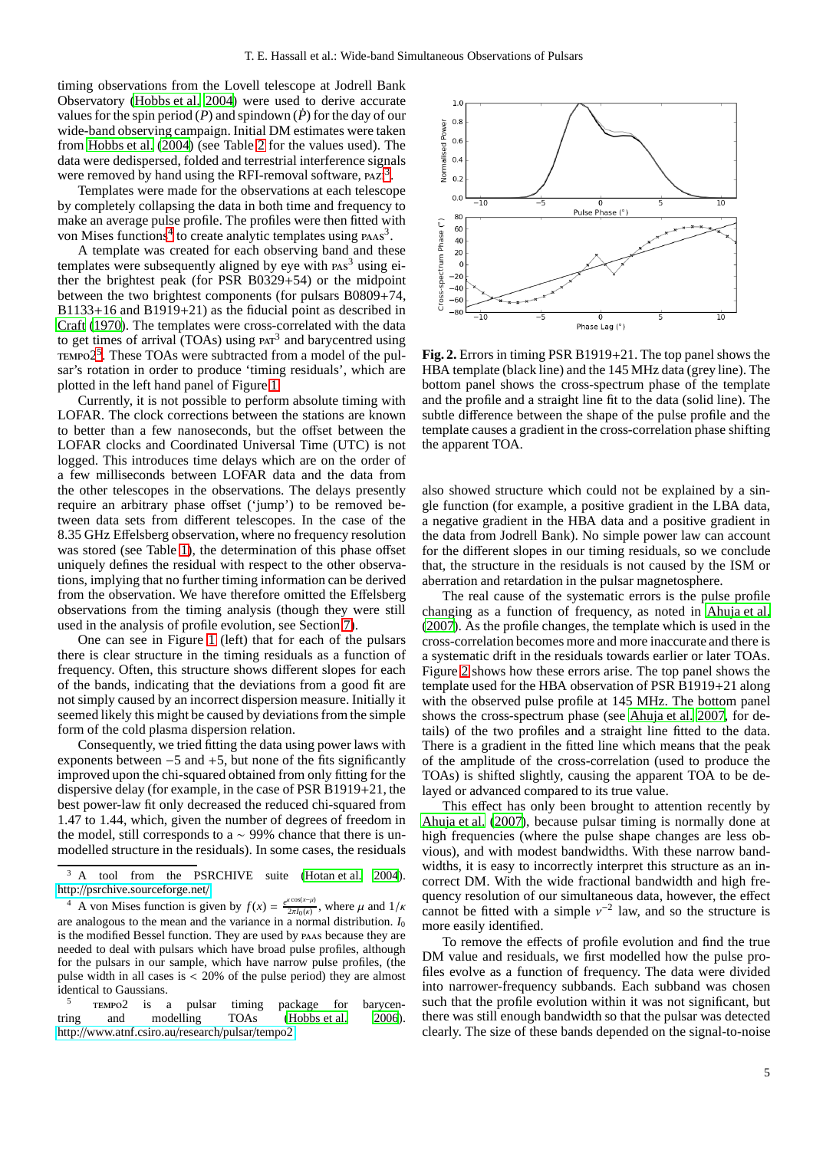timing observations from the Lovell telescope at Jodrell Bank Observatory [\(Hobbs et al. 2004\)](#page-17-24) were used to derive accurate values for the spin period (*P*) and spindown ( $\dot{P}$ ) for the day of our wide-band observing campaign. Initial DM estimates were taken from [Hobbs et al.](#page-17-24) [\(2004\)](#page-17-24) (see Table [2](#page-2-3) for the values used). The data were dedispersed, folded and terrestrial interference signals were removed by hand using the RFI-removal software,  $PAZI^3$  $PAZI^3$ .

Templates were made for the observations at each telescope by completely collapsing the data in both time and frequency to make an average pulse profile. The profiles were then fitted with von Mises functions<sup>[4](#page-4-1)</sup> to create analytic templates using  $P_{\text{AAS}}^3$ .

A template was created for each observing band and these templates were subsequently aligned by eye with pas<sup>3</sup> using either the brightest peak (for PSR B0329+54) or the midpoint between the two brightest components (for pulsars B0809+74, B1133+16 and B1919+21) as the fiducial point as described in [Craft](#page-17-13) [\(1970\)](#page-17-13). The templates were cross-correlated with the data to get times of arrival (TOAs) using  $\text{par}^3$  and barycentred using TEMPO2<sup>[5](#page-4-2)</sup>. These TOAs were subtracted from a model of the pulsar's rotation in order to produce 'timing residuals', which are plotted in the left hand panel of Figure [1.](#page-3-1)

Currently, it is not possible to perform absolute timing with LOFAR. The clock corrections between the stations are known to better than a few nanoseconds, but the offset between the LOFAR clocks and Coordinated Universal Time (UTC) is not logged. This introduces time delays which are on the order of a few milliseconds between LOFAR data and the data from the other telescopes in the observations. The delays presently require an arbitrary phase offset ('jump') to be removed between data sets from different telescopes. In the case of the 8.35 GHz Effelsberg observation, where no frequency resolution was stored (see Table [1\)](#page-2-2), the determination of this phase offset uniquely defines the residual with respect to the other observations, implying that no further timing information can be derived from the observation. We have therefore omitted the Effelsberg observations from the timing analysis (though they were still used in the analysis of profile evolution, see Section [7\)](#page-10-0).

One can see in Figure [1](#page-3-1) (left) that for each of the pulsars there is clear structure in the timing residuals as a function of frequency. Often, this structure shows different slopes for each of the bands, indicating that the deviations from a good fit are not simply caused by an incorrect dispersion measure. Initially it seemed likely this might be caused by deviations from the simple form of the cold plasma dispersion relation.

Consequently, we tried fitting the data using power laws with exponents between −5 and +5, but none of the fits significantly improved upon the chi-squared obtained from only fitting for the dispersive delay (for example, in the case of PSR B1919+21, the best power-law fit only decreased the reduced chi-squared from 1.47 to 1.44, which, given the number of degrees of freedom in the model, still corresponds to a  $\sim$  99% chance that there is unmodelled structure in the residuals). In some cases, the residuals

<sup>3</sup> A tool from the PSRCHIVE suite [\(Hotan et al. 2004](#page-17-29)). http://[psrchive.sourceforge.net](http://psrchive.sourceforge.net/)/



<span id="page-4-3"></span>**Fig. 2.** Errors in timing PSR B1919+21. The top panel shows the HBA template (black line) and the 145 MHz data (grey line). The bottom panel shows the cross-spectrum phase of the template and the profile and a straight line fit to the data (solid line). The subtle difference between the shape of the pulse profile and the template causes a gradient in the cross-correlation phase shifting the apparent TOA.

also showed structure which could not be explained by a single function (for example, a positive gradient in the LBA data, a negative gradient in the HBA data and a positive gradient in the data from Jodrell Bank). No simple power law can account for the different slopes in our timing residuals, so we conclude that, the structure in the residuals is not caused by the ISM or aberration and retardation in the pulsar magnetosphere.

The real cause of the systematic errors is the pulse profile changing as a function of frequency, as noted in [Ahuja et al.](#page-17-17) [\(2007](#page-17-17)). As the profile changes, the template which is used in the cross-correlation becomes more and more inaccurate and there is a systematic drift in the residuals towards earlier or later TOAs. Figure [2](#page-4-3) shows how these errors arise. The top panel shows the template used for the HBA observation of PSR B1919+21 along with the observed pulse profile at 145 MHz. The bottom panel shows the cross-spectrum phase (see [Ahuja et al. 2007,](#page-17-17) for details) of the two profiles and a straight line fitted to the data. There is a gradient in the fitted line which means that the peak of the amplitude of the cross-correlation (used to produce the TOAs) is shifted slightly, causing the apparent TOA to be delayed or advanced compared to its true value.

This effect has only been brought to attention recently by [Ahuja et al. \(2007\)](#page-17-17), because pulsar timing is normally done at high frequencies (where the pulse shape changes are less obvious), and with modest bandwidths. With these narrow bandwidths, it is easy to incorrectly interpret this structure as an incorrect DM. With the wide fractional bandwidth and high frequency resolution of our simultaneous data, however, the effect cannot be fitted with a simple  $v^{-2}$  law, and so the structure is more easily identified.

To remove the effects of profile evolution and find the true DM value and residuals, we first modelled how the pulse profiles evolve as a function of frequency. The data were divided into narrower-frequency subbands. Each subband was chosen such that the profile evolution within it was not significant, but there was still enough bandwidth so that the pulsar was detected clearly. The size of these bands depended on the signal-to-noise

<span id="page-4-1"></span><span id="page-4-0"></span><sup>&</sup>lt;sup>4</sup> A von Mises function is given by  $f(x) = \frac{e^{x \cos(x-\mu)}}{2\pi L(x)}$  $\frac{\chi_{\text{cos}(x-\mu)}}{2\pi I_0(\kappa)}$ , where  $\mu$  and  $1/\kappa$ are analogous to the mean and the variance in a normal distribution.  $I_0$ is the modified Bessel function. They are used by paas because they are needed to deal with pulsars which have broad pulse profiles, although for the pulsars in our sample, which have narrow pulse profiles, (the pulse width in all cases is < 20% of the pulse period) they are almost identical to Gaussians.

<span id="page-4-2"></span><sup>5</sup> TEMPO<sub>2</sub> is a pulsar timing package for barycentring and modelling TOAs [\(Hobbs et al. 2006](#page-17-30)). http://[www.atnf.csiro.au](http://www.atnf.csiro.au/research/pulsar/tempo2)/research/pulsar/tempo2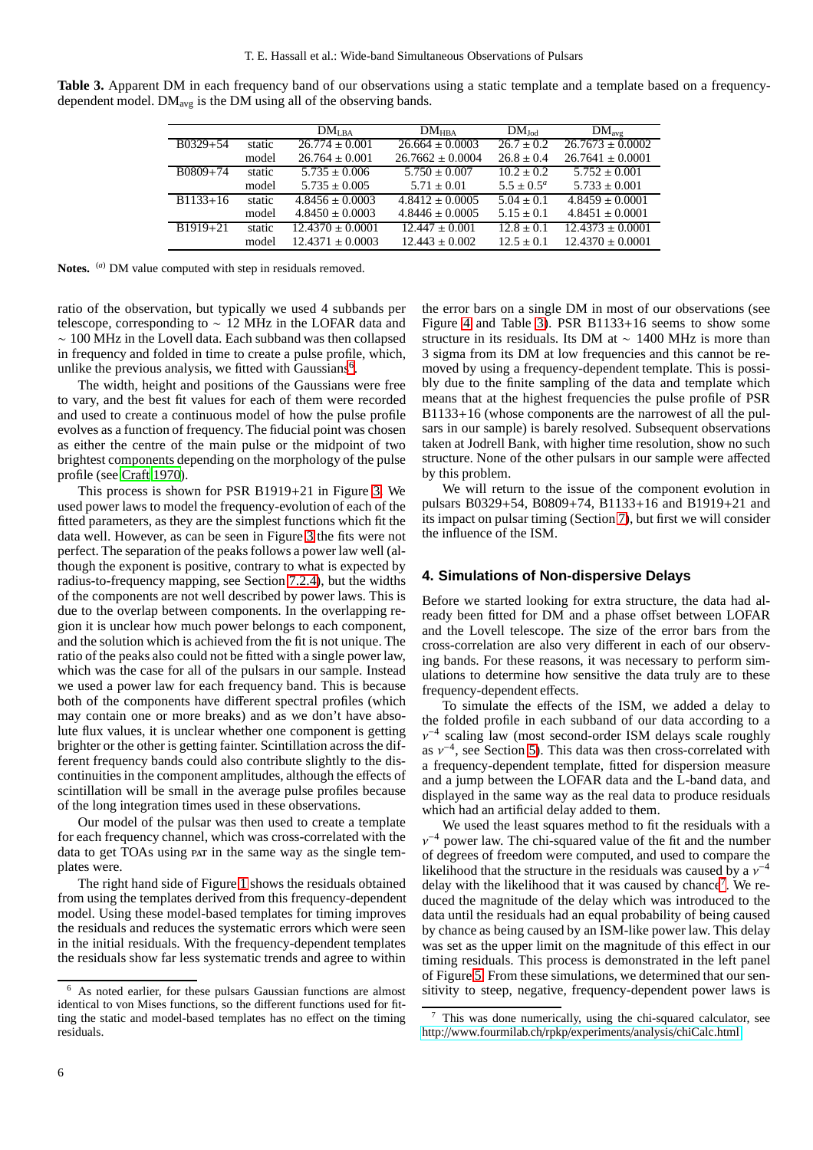|                 |        | $DM_{IBA}$           | DM <sub>HBA</sub>    | $DM_{\text{Iod}}$     | $DM_{\text{avg}}$    |
|-----------------|--------|----------------------|----------------------|-----------------------|----------------------|
| $B(0.329 + 54)$ | static | $26.774 \pm 0.001$   | $26.664 \pm 0.0003$  | $\sqrt{26.7} \pm 0.2$ | $26.7673 \pm 0.0002$ |
|                 | model  | $26.764 \pm 0.001$   | $26.7662 \pm 0.0004$ | $26.8 \pm 0.4$        | $26.7641 \pm 0.0001$ |
| $B0809+74$      | static | $5.735 \pm 0.006$    | $5.750 \pm 0.007$    | $10.2 \pm 0.2$        | $5.752 \pm 0.001$    |
|                 | model  | $5.735 \pm 0.005$    | $5.71 \pm 0.01$      | $5.5 \pm 0.5^a$       | $5.733 \pm 0.001$    |
| $R1133+16$      | static | $4.8456 \pm 0.0003$  | $4.8412 \pm 0.0005$  | $5.04 \pm 0.1$        | $4.8459 \pm 0.0001$  |
|                 | model  | $4.8450 \pm 0.0003$  | $4.8446 \pm 0.0005$  | $5.15 \pm 0.1$        | $4.8451 \pm 0.0001$  |
| $R1919+21$      | static | $12.4370 \pm 0.0001$ | $12.447 + 0.001$     | $12.8 \pm 0.1$        | $12.4373 + 0.0001$   |
|                 | model  | $12.4371 \pm 0.0003$ | $12.443 \pm 0.002$   | $12.5 \pm 0.1$        | $12.4370 \pm 0.0001$ |

<span id="page-5-2"></span>**Table 3.** Apparent DM in each frequency band of our observations using a static template and a template based on a frequencydependent model.  $DM_{avg}$  is the DM using all of the observing bands.

**Notes.** (*a*) DM value computed with step in residuals removed.

ratio of the observation, but typically we used 4 subbands per telescope, corresponding to ∼ 12 MHz in the LOFAR data and ∼ 100 MHz in the Lovell data. Each subband was then collapsed in frequency and folded in time to create a pulse profile, which, unlike the previous analysis, we fitted with Gaussians<sup>[6](#page-5-1)</sup>.

The width, height and positions of the Gaussians were free to vary, and the best fit values for each of them were recorded and used to create a continuous model of how the pulse profile evolves as a function of frequency. The fiducial point was chosen as either the centre of the main pulse or the midpoint of two brightest components depending on the morphology of the pulse profile (see [Craft 1970\)](#page-17-13).

This process is shown for PSR B1919+21 in Figure [3.](#page-18-0) We used power laws to model the frequency-evolution of each of the fitted parameters, as they are the simplest functions which fit the data well. However, as can be seen in Figure [3](#page-18-0) the fits were not perfect. The separation of the peaks follows a power law well (although the exponent is positive, contrary to what is expected by radius-to-frequency mapping, see Section [7.2.4\)](#page-14-0), but the widths of the components are not well described by power laws. This is due to the overlap between components. In the overlapping region it is unclear how much power belongs to each component, and the solution which is achieved from the fit is not unique. The ratio of the peaks also could not be fitted with a single power law, which was the case for all of the pulsars in our sample. Instead we used a power law for each frequency band. This is because both of the components have different spectral profiles (which may contain one or more breaks) and as we don't have absolute flux values, it is unclear whether one component is getting brighter or the other is getting fainter. Scintillation across the different frequency bands could also contribute slightly to the discontinuities in the component amplitudes, although the effects of scintillation will be small in the average pulse profiles because of the long integration times used in these observations.

Our model of the pulsar was then used to create a template for each frequency channel, which was cross-correlated with the data to get TOAs using pat in the same way as the single templates were.

The right hand side of Figure [1](#page-3-1) shows the residuals obtained from using the templates derived from this frequency-dependent model. Using these model-based templates for timing improves the residuals and reduces the systematic errors which were seen in the initial residuals. With the frequency-dependent templates the residuals show far less systematic trends and agree to within

the error bars on a single DM in most of our observations (see Figure [4](#page-19-0) and Table [3\)](#page-5-2). PSR B1133+16 seems to show some structure in its residuals. Its DM at ∼ 1400 MHz is more than 3 sigma from its DM at low frequencies and this cannot be removed by using a frequency-dependent template. This is possibly due to the finite sampling of the data and template which means that at the highest frequencies the pulse profile of PSR B1133+16 (whose components are the narrowest of all the pulsars in our sample) is barely resolved. Subsequent observations taken at Jodrell Bank, with higher time resolution, show no such structure. None of the other pulsars in our sample were affected by this problem.

We will return to the issue of the component evolution in pulsars B0329+54, B0809+74, B1133+16 and B1919+21 and its impact on pulsar timing (Section [7\)](#page-10-0), but first we will consider the influence of the ISM.

# <span id="page-5-0"></span>**4. Simulations of Non-dispersive Delays**

Before we started looking for extra structure, the data had already been fitted for DM and a phase offset between LOFAR and the Lovell telescope. The size of the error bars from the cross-correlation are also very different in each of our observing bands. For these reasons, it was necessary to perform simulations to determine how sensitive the data truly are to these frequency-dependent effects.

To simulate the effects of the ISM, we added a delay to the folded profile in each subband of our data according to a ν −4 scaling law (most second-order ISM delays scale roughly as  $v^{-4}$ , see Section [5\)](#page-6-0). This data was then cross-correlated with a frequency-dependent template, fitted for dispersion measure and a jump between the LOFAR data and the L-band data, and displayed in the same way as the real data to produce residuals which had an artificial delay added to them.

We used the least squares method to fit the residuals with a  $v^{-4}$  power law. The chi-squared value of the fit and the number of degrees of freedom were computed, and used to compare the likelihood that the structure in the residuals was caused by a  $v^{-4}$ delay with the likelihood that it was caused by chance<sup>[7](#page-5-3)</sup>. We reduced the magnitude of the delay which was introduced to the data until the residuals had an equal probability of being caused by chance as being caused by an ISM-like power law. This delay was set as the upper limit on the magnitude of this effect in our timing residuals. This process is demonstrated in the left panel of Figure [5.](#page-19-1) From these simulations, we determined that our sensitivity to steep, negative, frequency-dependent power laws is

<span id="page-5-1"></span><sup>6</sup> As noted earlier, for these pulsars Gaussian functions are almost identical to von Mises functions, so the different functions used for fitting the static and model-based templates has no effect on the timing residuals.

<span id="page-5-3"></span><sup>7</sup> This was done numerically, using the chi-squared calculator, see http://[www.fourmilab.ch](http://www.fourmilab.ch/rpkp/experiments/analysis/chiCalc.html)/rpkp/experiments/analysis/chiCalc.html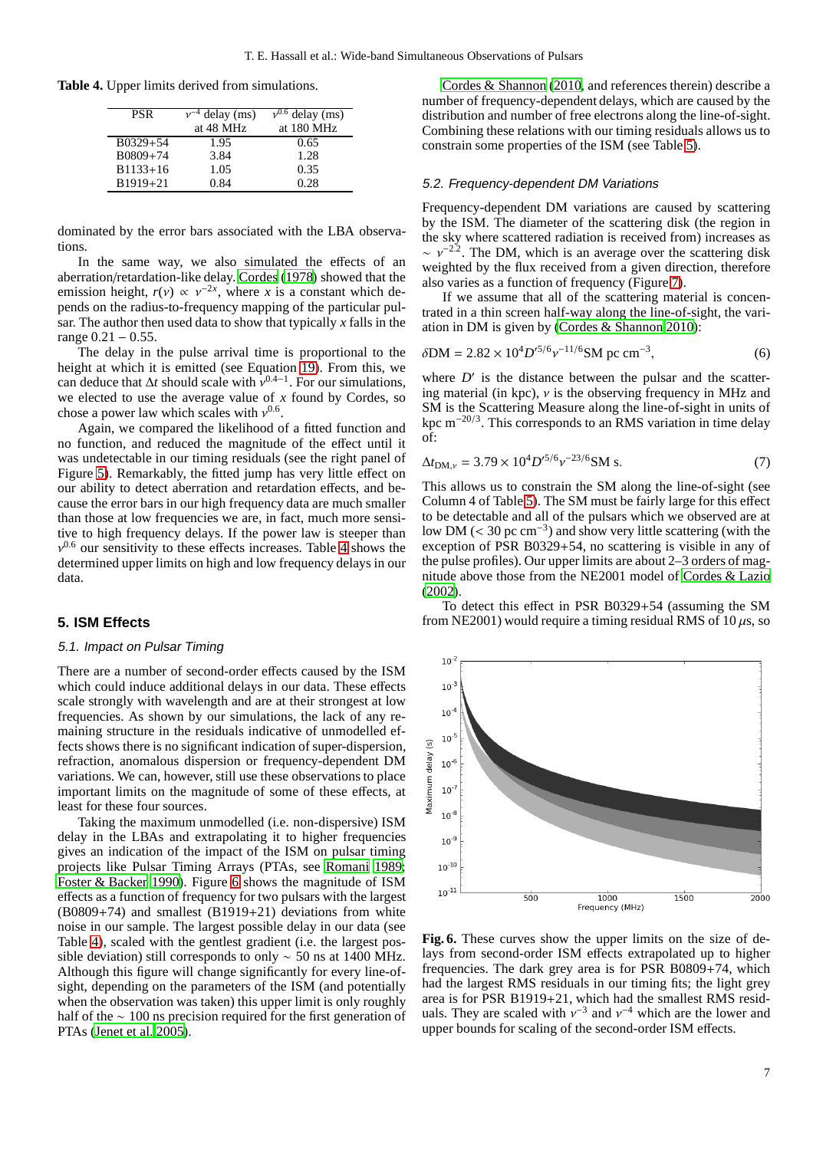**Table 4.** Upper limits derived from simulations.

<span id="page-6-1"></span>

| <b>PSR</b> | $v^{-4}$ delay (ms)<br>at 48 MHz | $\overline{v^{0.6}}$ delay (ms)<br>at 180 MHz |
|------------|----------------------------------|-----------------------------------------------|
| $B0329+54$ | 1.95                             | 0.65                                          |
| B0809+74   | 3.84                             | 1.28                                          |
| $B1133+16$ | 1.05                             | 0.35                                          |
| B1919+21   | 0.84                             | 0.28                                          |

dominated by the error bars associated with the LBA observations.

In the same way, we also simulated the effects of an aberration/retardation-like delay. [Cordes \(1978\)](#page-17-11) showed that the emission height,  $r(v) \propto v^{-2x}$ , where *x* is a constant which depends on the radius-to-frequency mapping of the particular pulsar. The author then used data to show that typically *x* falls in the range 0.21 − 0.55.

The delay in the pulse arrival time is proportional to the height at which it is emitted (see Equation [19\)](#page-8-1). From this, we can deduce that  $\Delta t$  should scale with  $\hat{v}^{0.4-1}$ . For our simulations, we elected to use the average value of *x* found by Cordes, so chose a power law which scales with  $v^{0.6}$ .

Again, we compared the likelihood of a fitted function and no function, and reduced the magnitude of the effect until it was undetectable in our timing residuals (see the right panel of Figure [5\)](#page-19-1). Remarkably, the fitted jump has very little effect on our ability to detect aberration and retardation effects, and because the error bars in our high frequency data are much smaller than those at low frequencies we are, in fact, much more sensitive to high frequency delays. If the power law is steeper than  $v^{0.6}$  our sensitivity to these effects increases. Table [4](#page-6-1) shows the determined upper limits on high and low frequency delays in our data.

## <span id="page-6-0"></span>**5. ISM Effects**

### 5.1. Impact on Pulsar Timing

There are a number of second-order effects caused by the ISM which could induce additional delays in our data. These effects scale strongly with wavelength and are at their strongest at low frequencies. As shown by our simulations, the lack of any remaining structure in the residuals indicative of unmodelled effects shows there is no significant indication of super-dispersion, refraction, anomalous dispersion or frequency-dependent DM variations. We can, however, still use these observations to place important limits on the magnitude of some of these effects, at least for these four sources.

Taking the maximum unmodelled (i.e. non-dispersive) ISM delay in the LBAs and extrapolating it to higher frequencies gives an indication of the impact of the ISM on pulsar timing projects like Pulsar Timing Arrays (PTAs, see [Romani 1989](#page-17-31); [Foster & Backer 1990](#page-17-32)). Figure [6](#page-6-2) shows the magnitude of ISM effects as a function of frequency for two pulsars with the largest (B0809+74) and smallest (B1919+21) deviations from white noise in our sample. The largest possible delay in our data (see Table [4\)](#page-6-1), scaled with the gentlest gradient (i.e. the largest possible deviation) still corresponds to only  $\sim$  50 ns at 1400 MHz. Although this figure will change significantly for every line-ofsight, depending on the parameters of the ISM (and potentially when the observation was taken) this upper limit is only roughly half of the ∼ 100 ns precision required for the first generation of PTAs [\(Jenet et al. 2005\)](#page-17-1).

[Cordes & Shannon \(2010,](#page-17-3) and references therein) describe a number of frequency-dependent delays, which are caused by the distribution and number of free electrons along the line-of-sight. Combining these relations with our timing residuals allows us to constrain some properties of the ISM (see Table [5\)](#page-9-0).

### 5.2. Frequency-dependent DM Variations

Frequency-dependent DM variations are caused by scattering by the ISM. The diameter of the scattering disk (the region in the sky where scattered radiation is received from) increases as  $\sim v^{-2.2}$ . The DM, which is an average over the scattering disk weighted by the flux received from a given direction, therefore also varies as a function of frequency (Figure [7\)](#page-7-0).

If we assume that all of the scattering material is concentrated in a thin screen half-way along the line-of-sight, the variation in DM is given by [\(Cordes & Shannon 2010\)](#page-17-3):

$$
\delta \text{DM} = 2.82 \times 10^4 D'^{5/6} v^{-11/6} \text{SM pc cm}^{-3},\tag{6}
$$

where  $D'$  is the distance between the pulsar and the scattering material (in kpc),  $\nu$  is the observing frequency in MHz and SM is the Scattering Measure along the line-of-sight in units of kpc m−20/<sup>3</sup> . This corresponds to an RMS variation in time delay of:

$$
\Delta t_{\text{DM},\nu} = 3.79 \times 10^4 D'^{5/6} \nu^{-23/6} \text{SM s.}
$$
 (7)

This allows us to constrain the SM along the line-of-sight (see Column 4 of Table [5\)](#page-9-0). The SM must be fairly large for this effect to be detectable and all of the pulsars which we observed are at low DM (< 30 pc cm<sup>-3</sup>) and show very little scattering (with the exception of PSR B0329+54, no scattering is visible in any of the pulse profiles). Our upper limits are about 2–3 orders of magnitude above those from the NE2001 model of [Cordes & Lazio](#page-17-33) [\(2002](#page-17-33)).

To detect this effect in PSR B0329+54 (assuming the SM from NE2001) would require a timing residual RMS of 10  $\mu$ s, so



<span id="page-6-2"></span>**Fig. 6.** These curves show the upper limits on the size of delays from second-order ISM effects extrapolated up to higher frequencies. The dark grey area is for PSR B0809+74, which had the largest RMS residuals in our timing fits; the light grey area is for PSR B1919+21, which had the smallest RMS residuals. They are scaled with  $v^{-3}$  and  $v^{-4}$  which are the lower and upper bounds for scaling of the second-order ISM effects.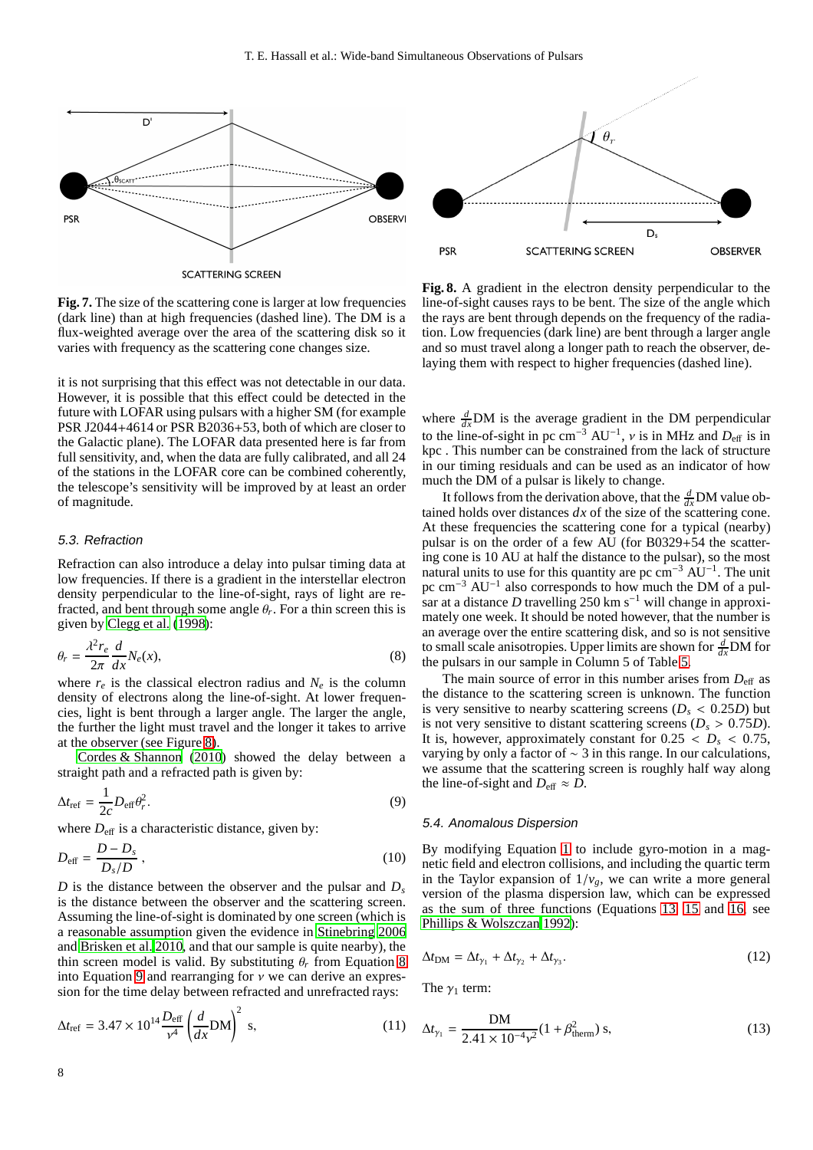

<span id="page-7-0"></span>**Fig. 7.** The size of the scattering cone is larger at low frequencies (dark line) than at high frequencies (dashed line). The DM is a flux-weighted average over the area of the scattering disk so it varies with frequency as the scattering cone changes size.

it is not surprising that this effect was not detectable in our data. However, it is possible that this effect could be detected in the future with LOFAR using pulsars with a higher SM (for example PSR J2044+4614 or PSR B2036+53, both of which are closer to the Galactic plane). The LOFAR data presented here is far from full sensitivity, and, when the data are fully calibrated, and all 24 of the stations in the LOFAR core can be combined coherently, the telescope's sensitivity will be improved by at least an order of magnitude.

### 5.3. Refraction

Refraction can also introduce a delay into pulsar timing data at low frequencies. If there is a gradient in the interstellar electron density perpendicular to the line-of-sight, rays of light are refracted, and bent through some angle  $\theta_r$ . For a thin screen this is given by [Clegg et al. \(1998\)](#page-17-34):

<span id="page-7-2"></span>
$$
\theta_r = \frac{\lambda^2 r_e}{2\pi} \frac{d}{dx} N_e(x),\tag{8}
$$

where  $r_e$  is the classical electron radius and  $N_e$  is the column density of electrons along the line-of-sight. At lower frequencies, light is bent through a larger angle. The larger the angle, the further the light must travel and the longer it takes to arrive at the observer (see Figure [8\)](#page-7-1).

[Cordes & Shannon \(2010](#page-17-3)) showed the delay between a straight path and a refracted path is given by:

<span id="page-7-3"></span>
$$
\Delta t_{\rm ref} = \frac{1}{2c} D_{\rm eff} \theta_r^2. \tag{9}
$$

where  $D_{\text{eff}}$  is a characteristic distance, given by:

$$
D_{\text{eff}} = \frac{D - D_s}{D_s/D} \,,\tag{10}
$$

*D* is the distance between the observer and the pulsar and *D<sup>s</sup>* is the distance between the observer and the scattering screen. Assuming the line-of-sight is dominated by one screen (which is a reasonable assumption given the evidence in [Stinebring 2006](#page-17-35) and [Brisken et al. 2010,](#page-17-36) and that our sample is quite nearby), the thin screen model is valid. By substituting  $\theta_r$  from Equation [8](#page-7-2) into Equation [9](#page-7-3) and rearranging for  $\nu$  we can derive an expression for the time delay between refracted and unrefracted rays:

$$
\Delta t_{\rm ref} = 3.47 \times 10^{14} \frac{D_{\rm eff}}{\nu^4} \left(\frac{d}{dx} \text{DM}\right)^2 \text{ s},\tag{11}
$$



<span id="page-7-1"></span>**Fig. 8.** A gradient in the electron density perpendicular to the line-of-sight causes rays to be bent. The size of the angle which the rays are bent through depends on the frequency of the radiation. Low frequencies (dark line) are bent through a larger angle and so must travel along a longer path to reach the observer, delaying them with respect to higher frequencies (dashed line).

where  $\frac{d}{dx}$ DM is the average gradient in the DM perpendicular to the line-of-sight in pc cm<sup>-3</sup> AU<sup>-1</sup>,  $\nu$  is in MHz and  $D_{\text{eff}}$  is in kpc . This number can be constrained from the lack of structure in our timing residuals and can be used as an indicator of how much the DM of a pulsar is likely to change.

It follows from the derivation above, that the  $\frac{d}{dx}$ DM value obtained holds over distances  $dx$  of the size of the scattering cone. At these frequencies the scattering cone for a typical (nearby) pulsar is on the order of a few AU (for B0329+54 the scattering cone is 10 AU at half the distance to the pulsar), so the most natural units to use for this quantity are pc  $cm^{-3}$  AU<sup>-1</sup>. The unit pc cm<sup>-3</sup> AU<sup>-1</sup> also corresponds to how much the DM of a pulsar at a distance *D* travelling 250 km s<sup> $-1$ </sup> will change in approximately one week. It should be noted however, that the number is an average over the entire scattering disk, and so is not sensitive to small scale anisotropies. Upper limits are shown for  $\frac{d}{dx}$ DM for the pulsars in our sample in Column 5 of Table [5.](#page-9-0)

The main source of error in this number arises from  $D_{\text{eff}}$  as the distance to the scattering screen is unknown. The function is very sensitive to nearby scattering screens  $(D_s < 0.25D)$  but is not very sensitive to distant scattering screens  $(D_s > 0.75D)$ . It is, however, approximately constant for  $0.25 < D_s < 0.75$ , varying by only a factor of ∼ 3 in this range. In our calculations, we assume that the scattering screen is roughly half way along the line-of-sight and  $D_{\text{eff}} \approx \overline{D}$ .

#### 5.4. Anomalous Dispersion

By modifying Equation [1](#page-1-2) to include gyro-motion in a magnetic field and electron collisions, and including the quartic term in the Taylor expansion of  $1/v<sub>g</sub>$ , we can write a more general version of the plasma dispersion law, which can be expressed as the sum of three functions (Equations [13,](#page-7-4) [15](#page-8-2) and [16,](#page-8-3) see [Phillips & Wolszczan 1992\)](#page-17-14):

$$
\Delta t_{\rm DM} = \Delta t_{\gamma_1} + \Delta t_{\gamma_2} + \Delta t_{\gamma_3}.\tag{12}
$$

The  $\gamma_1$  term:

<span id="page-7-4"></span>
$$
\Delta t_{\gamma_1} = \frac{DM}{2.41 \times 10^{-4} \nu^2} (1 + \beta_{\text{therm}}^2) \text{ s},\tag{13}
$$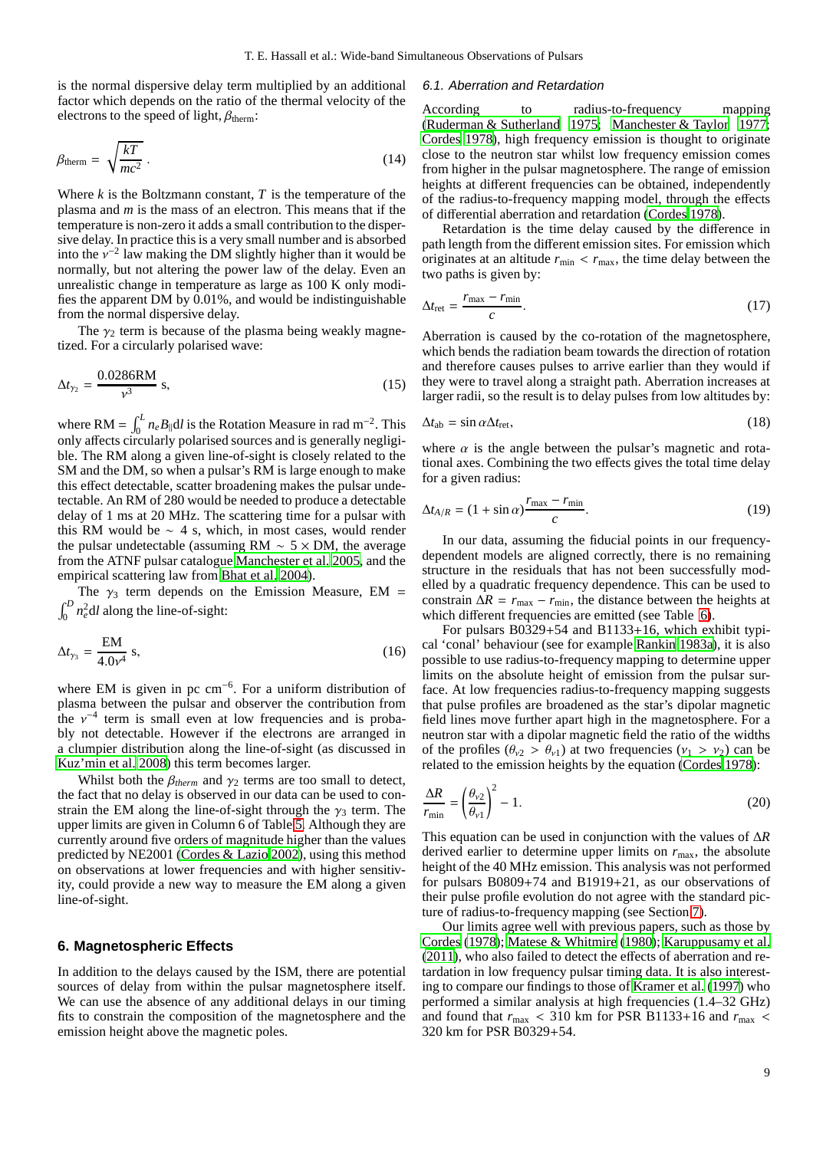is the normal dispersive delay term multiplied by an additional factor which depends on the ratio of the thermal velocity of the electrons to the speed of light,  $\beta_{\text{therm}}$ :

$$
\beta_{\text{therm}} = \sqrt{\frac{kT}{mc^2}} \,. \tag{14}
$$

Where *k* is the Boltzmann constant, *T* is the temperature of the plasma and *m* is the mass of an electron. This means that if the temperature is non-zero it adds a small contribution to the dispersive delay. In practice this is a very small number and is absorbed into the  $v^{-2}$  law making the DM slightly higher than it would be normally, but not altering the power law of the delay. Even an unrealistic change in temperature as large as 100 K only modifies the apparent DM by 0.01%, and would be indistinguishable from the normal dispersive delay.

The  $\gamma_2$  term is because of the plasma being weakly magnetized. For a circularly polarised wave:

<span id="page-8-2"></span>
$$
\Delta t_{\gamma_2} = \frac{0.0286 \text{RM}}{\nu^3} \text{ s},\tag{15}
$$

where RM =  $\int_0^L n_e B_{\parallel} dl$  is the Rotation Measure in rad m<sup>-2</sup>. This only affects circularly polarised sources and is generally negligible. The RM along a given line-of-sight is closely related to the SM and the DM, so when a pulsar's RM is large enough to make this effect detectable, scatter broadening makes the pulsar undetectable. An RM of 280 would be needed to produce a detectable delay of 1 ms at 20 MHz. The scattering time for a pulsar with this RM would be  $\sim$  4 s, which, in most cases, would render the pulsar undetectable (assuming RM  $\sim$  5  $\times$  DM, the average from the ATNF pulsar catalogue [Manchester et al. 2005,](#page-17-37) and the empirical scattering law from [Bhat et al. 2004](#page-17-38)).

The  $\gamma_3$  term depends on the Emission Measure, EM =  $\int_0^D n_e^2 dl$  along the line-of-sight:

<span id="page-8-3"></span>
$$
\Delta t_{\gamma_3} = \frac{\text{EM}}{4.0 \nu^4} \text{ s},\tag{16}
$$

where EM is given in pc cm<sup>-6</sup>. For a uniform distribution of plasma between the pulsar and observer the contribution from the  $v^{-4}$  term is small even at low frequencies and is probably not detectable. However if the electrons are arranged in a clumpier distribution along the line-of-sight (as discussed in [Kuz'min et al. 2008\)](#page-17-10) this term becomes larger.

Whilst both the  $\beta_{therm}$  and  $\gamma_2$  terms are too small to detect, the fact that no delay is observed in our data can be used to constrain the EM along the line-of-sight through the  $\gamma_3$  term. The upper limits are given in Column 6 of Table [5.](#page-9-0) Although they are currently around five orders of magnitude higher than the values predicted by NE2001 [\(Cordes & Lazio 2002\)](#page-17-33), using this method on observations at lower frequencies and with higher sensitivity, could provide a new way to measure the EM along a given line-of-sight.

### <span id="page-8-0"></span>**6. Magnetospheric Effects**

In addition to the delays caused by the ISM, there are potential sources of delay from within the pulsar magnetosphere itself. We can use the absence of any additional delays in our timing fits to constrain the composition of the magnetosphere and the emission height above the magnetic poles.

#### 6.1. Aberration and Retardation

According to radius-to-frequency mapping [\(Ruderman & Sutherland 1975;](#page-17-39) [Manchester & Taylor 1977;](#page-17-40) [Cordes 1978\)](#page-17-11), high frequency emission is thought to originate close to the neutron star whilst low frequency emission comes from higher in the pulsar magnetosphere. The range of emission heights at different frequencies can be obtained, independently of the radius-to-frequency mapping model, through the effects of differential aberration and retardation [\(Cordes 1978](#page-17-11)).

Retardation is the time delay caused by the difference in path length from the different emission sites. For emission which originates at an altitude  $r_{\text{min}} < r_{\text{max}}$ , the time delay between the two paths is given by:

$$
\Delta t_{\rm ret} = \frac{r_{\rm max} - r_{\rm min}}{c}.\tag{17}
$$

Aberration is caused by the co-rotation of the magnetosphere, which bends the radiation beam towards the direction of rotation and therefore causes pulses to arrive earlier than they would if they were to travel along a straight path. Aberration increases at larger radii, so the result is to delay pulses from low altitudes by:

$$
\Delta t_{\rm ab} = \sin \alpha \Delta t_{\rm ret},\tag{18}
$$

where  $\alpha$  is the angle between the pulsar's magnetic and rotational axes. Combining the two effects gives the total time delay for a given radius:

<span id="page-8-1"></span>
$$
\Delta t_{A/R} = (1 + \sin \alpha) \frac{r_{\text{max}} - r_{\text{min}}}{c}.
$$
\n(19)

In our data, assuming the fiducial points in our frequencydependent models are aligned correctly, there is no remaining structure in the residuals that has not been successfully modelled by a quadratic frequency dependence. This can be used to constrain  $\Delta R = r_{\text{max}} - r_{\text{min}}$ , the distance between the heights at which different frequencies are emitted (see Table [6\)](#page-9-1).

For pulsars B0329+54 and B1133+16, which exhibit typical 'conal' behaviour (see for example [Rankin 1983a\)](#page-17-41), it is also possible to use radius-to-frequency mapping to determine upper limits on the absolute height of emission from the pulsar surface. At low frequencies radius-to-frequency mapping suggests that pulse profiles are broadened as the star's dipolar magnetic field lines move further apart high in the magnetosphere. For a neutron star with a dipolar magnetic field the ratio of the widths of the profiles ( $\theta_{\nu2} > \theta_{\nu1}$ ) at two frequencies ( $\nu_1 > \nu_2$ ) can be related to the emission heights by the equation [\(Cordes 1978\)](#page-17-11):

$$
\frac{\Delta R}{r_{\min}} = \left(\frac{\theta_{v2}}{\theta_{v1}}\right)^2 - 1.
$$
\n(20)

This equation can be used in conjunction with the values of ∆*R* derived earlier to determine upper limits on  $r_{\text{max}}$ , the absolute height of the 40 MHz emission. This analysis was not performed for pulsars B0809+74 and B1919+21, as our observations of their pulse profile evolution do not agree with the standard picture of radius-to-frequency mapping (see Section [7\)](#page-10-0).

Our limits agree well with previous papers, such as those by [Cordes \(1978\)](#page-17-11); [Matese & Whitmire \(1980](#page-17-42)); [Karuppusamy et al.](#page-17-43) [\(2011](#page-17-43)), who also failed to detect the effects of aberration and retardation in low frequency pulsar timing data. It is also interesting to compare our findings to those of [Kramer et al. \(1997](#page-17-44)) who performed a similar analysis at high frequencies (1.4–32 GHz) and found that  $r_{\text{max}}$  < 310 km for PSR B1133+16 and  $r_{\text{max}}$  < 320 km for PSR B0329+54.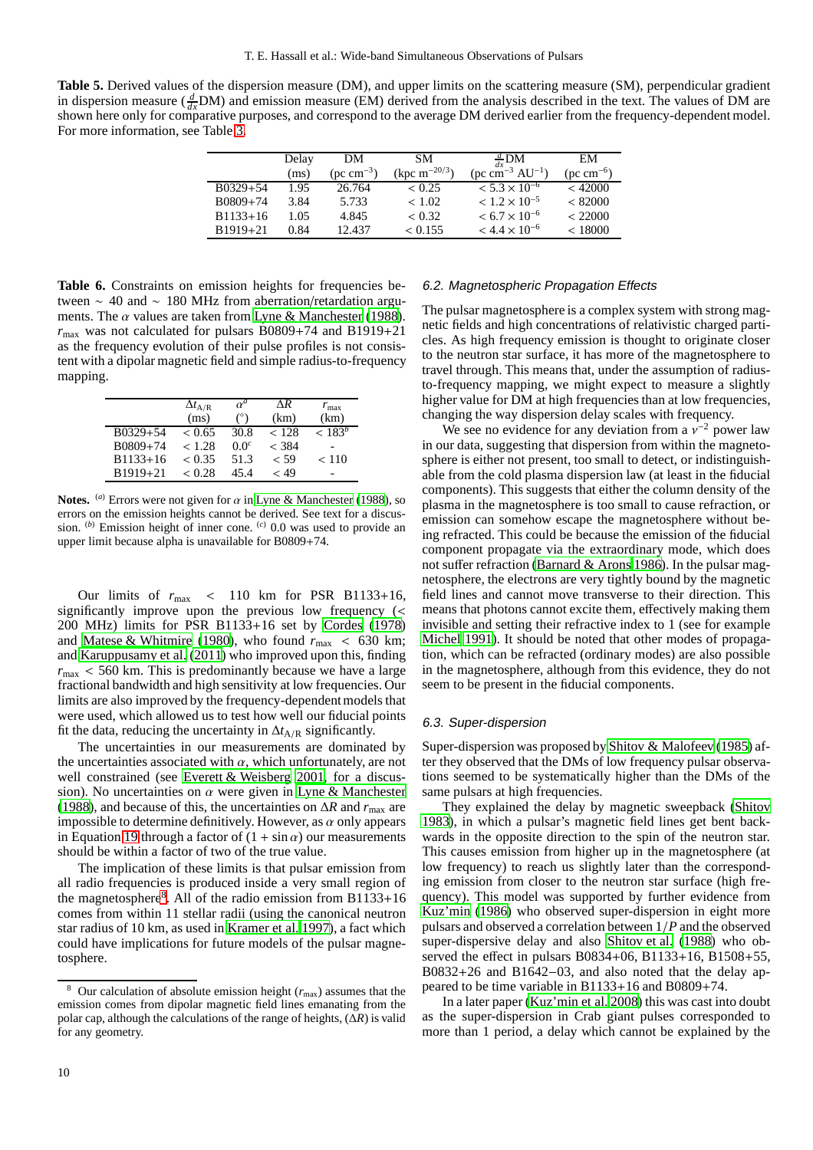<span id="page-9-0"></span>**Table 5.** Derived values of the dispersion measure (DM), and upper limits on the scattering measure (SM), perpendicular gradient in dispersion measure  $(\frac{d}{dx}DM)$  and emission measure (EM) derived from the analysis described in the text. The values of DM are shown here only for comparative purposes, and correspond to the average DM derived earlier from the frequency-dependent model. For more information, see Table [3.](#page-5-2)

|            | Delay | DM          | SМ                        | $\frac{d}{dx}$ DM      | EM                     |
|------------|-------|-------------|---------------------------|------------------------|------------------------|
|            | (ms)  | $(pc cm-3)$ | (kpc m <sup>-20/3</sup> ) | $(pc cm^{-3} AU^{-1})$ | $(pc \text{ cm}^{-6})$ |
| $B0329+54$ | 1.95  | 26.764      | ${}_{< 0.25}$             | $< 5.3 \times 10^{-6}$ | < 42000                |
| B0809+74   | 3.84  | 5.733       | < 1.02                    | $< 1.2 \times 10^{-5}$ | < 82000                |
| $B1133+16$ | 1.05  | 4.845       | < 0.32                    | $< 6.7 \times 10^{-6}$ | < 22000                |
| $B1919+21$ | 0.84  | 12.437      | < 0.155                   | $< 4.4 \times 10^{-6}$ | ${}< 18000$            |

<span id="page-9-1"></span>Table 6. Constraints on emission heights for frequencies between ∼ 40 and ∼ 180 MHz from aberration/retardation arguments. The  $\alpha$  values are taken from [Lyne & Manchester \(1988](#page-17-45)).  $r_{\text{max}}$  was not calculated for pulsars B0809+74 and B1919+21 as the frequency evolution of their pulse profiles is not consistent with a dipolar magnetic field and simple radius-to-frequency mapping.

|            | $\Delta t_{\rm A/R}$<br>(ms) | $\alpha^a$<br>(°) | ΛR<br>(km) | $r_{\rm max}$<br>(km) |
|------------|------------------------------|-------------------|------------|-----------------------|
| $B0329+54$ | < 0.65                       | 30.8              | < 128      | $< 18\overline{3}^b$  |
| B0809+74   | $<$ 1.28                     | 0.0 <sup>c</sup>  | < 384      |                       |
| $B1133+16$ | < 0.35                       | 51.3              | ~< 59      | < 110                 |
| B1919+21   | < 0.28                       | 45.4              | ~< 49      |                       |

**Notes.** (*a*) Errors were not given for  $\alpha$  in [Lyne & Manchester \(1988\)](#page-17-45), so errors on the emission heights cannot be derived. See text for a discussion. (*b*) Emission height of inner cone. (*c*) 0.0 was used to provide an upper limit because alpha is unavailable for B0809+74.

Our limits of  $r_{\text{max}}$  < 110 km for PSR B1133+16, significantly improve upon the previous low frequency (< 200 MHz) limits for PSR B1133+16 set by [Cordes](#page-17-11) [\(1978\)](#page-17-11) and [Matese & Whitmire \(1980](#page-17-42)), who found  $r_{\text{max}} < 630 \text{ km}$ ; and [Karuppusamy et al. \(2011](#page-17-43)) who improved upon this, finding  $r_{\text{max}}$  < 560 km. This is predominantly because we have a large fractional bandwidth and high sensitivity at low frequencies. Our limits are also improved by the frequency-dependent models that were used, which allowed us to test how well our fiducial points fit the data, reducing the uncertainty in  $\Delta t_{A/R}$  significantly.

The uncertainties in our measurements are dominated by the uncertainties associated with  $\alpha$ , which unfortunately, are not well constrained (see [Everett & Weisberg 2001](#page-17-46), for a discussion). No uncertainties on  $\alpha$  were given in [Lyne & Manchester](#page-17-45) [\(1988\)](#page-17-45), and because of this, the uncertainties on  $\Delta R$  and  $r_{\text{max}}$  are impossible to determine definitively. However, as  $\alpha$  only appears in Equation [19](#page-8-1) through a factor of  $(1 + \sin \alpha)$  our measurements should be within a factor of two of the true value.

The implication of these limits is that pulsar emission from all radio frequencies is produced inside a very small region of the magnetosphere<sup>[8](#page-9-2)</sup>. All of the radio emission from B1133+16 comes from within 11 stellar radii (using the canonical neutron star radius of 10 km, as used in [Kramer et al. 1997\)](#page-17-44), a fact which could have implications for future models of the pulsar magnetosphere.

### 6.2. Magnetospheric Propagation Effects

The pulsar magnetosphere is a complex system with strong magnetic fields and high concentrations of relativistic charged particles. As high frequency emission is thought to originate closer to the neutron star surface, it has more of the magnetosphere to travel through. This means that, under the assumption of radiusto-frequency mapping, we might expect to measure a slightly higher value for DM at high frequencies than at low frequencies, changing the way dispersion delay scales with frequency.

We see no evidence for any deviation from a  $v^{-2}$  power law in our data, suggesting that dispersion from within the magnetosphere is either not present, too small to detect, or indistinguishable from the cold plasma dispersion law (at least in the fiducial components). This suggests that either the column density of the plasma in the magnetosphere is too small to cause refraction, or emission can somehow escape the magnetosphere without being refracted. This could be because the emission of the fiducial component propagate via the extraordinary mode, which does not suffer refraction [\(Barnard & Arons 1986\)](#page-17-47). In the pulsar magnetosphere, the electrons are very tightly bound by the magnetic field lines and cannot move transverse to their direction. This means that photons cannot excite them, effectively making them invisible and setting their refractive index to 1 (see for example [Michel 1991](#page-17-6)). It should be noted that other modes of propagation, which can be refracted (ordinary modes) are also possible in the magnetosphere, although from this evidence, they do not seem to be present in the fiducial components.

### <span id="page-9-3"></span>6.3. Super-dispersion

Super-dispersion was proposed by [Shitov & Malofeev](#page-17-7) [\(1985\)](#page-17-7) after they observed that the DMs of low frequency pulsar observations seemed to be systematically higher than the DMs of the same pulsars at high frequencies.

They explained the delay by magnetic sweepback [\(Shitov](#page-17-22) [1983\)](#page-17-22), in which a pulsar's magnetic field lines get bent backwards in the opposite direction to the spin of the neutron star. This causes emission from higher up in the magnetosphere (at low frequency) to reach us slightly later than the corresponding emission from closer to the neutron star surface (high frequency). This model was supported by further evidence from [Kuz'min \(1986](#page-17-8)) who observed super-dispersion in eight more pulsars and observed a correlation between 1/*P* and the observed super-dispersive delay and also [Shitov et al.](#page-17-9) [\(1988\)](#page-17-9) who observed the effect in pulsars B0834+06, B1133+16, B1508+55, B0832+26 and B1642−03, and also noted that the delay appeared to be time variable in B1133+16 and B0809+74.

In a later paper [\(Kuz'min et al. 2008\)](#page-17-10) this was cast into doubt as the super-dispersion in Crab giant pulses corresponded to more than 1 period, a delay which cannot be explained by the

<span id="page-9-2"></span>Our calculation of absolute emission height  $(r_{\text{max}})$  assumes that the emission comes from dipolar magnetic field lines emanating from the polar cap, although the calculations of the range of heights, (∆*R*) is valid for any geometry.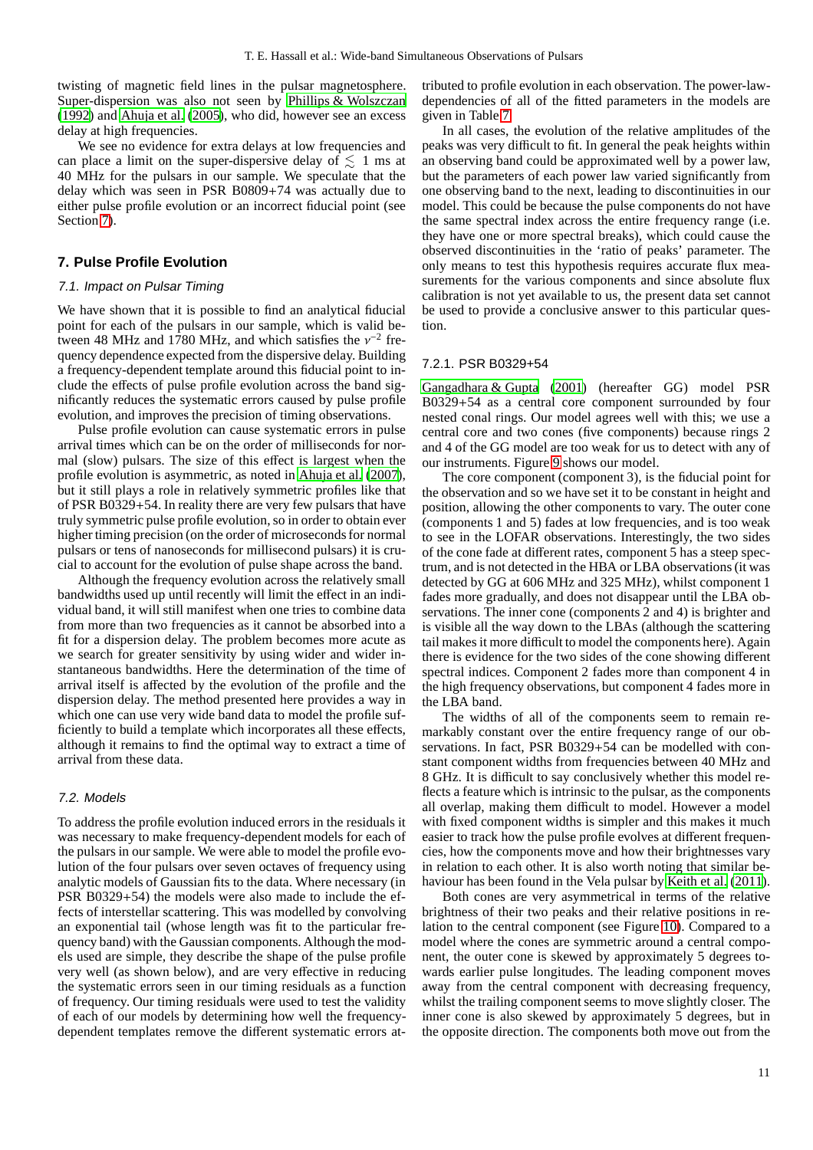twisting of magnetic field lines in the pulsar magnetosphere. Super-dispersion was also not seen by [Phillips & Wolszczan](#page-17-14) [\(1992\)](#page-17-14) and [Ahuja et al. \(2005\)](#page-17-23), who did, however see an excess delay at high frequencies.

We see no evidence for extra delays at low frequencies and can place a limit on the super-dispersive delay of  $\leq 1$  ms at 40 MHz for the pulsars in our sample. We speculate that the delay which was seen in PSR B0809+74 was actually due to either pulse profile evolution or an incorrect fiducial point (see Section [7\)](#page-10-0).

# <span id="page-10-0"></span>**7. Pulse Profile Evolution**

#### 7.1. Impact on Pulsar Timing

We have shown that it is possible to find an analytical fiducial point for each of the pulsars in our sample, which is valid between 48 MHz and 1780 MHz, and which satisfies the  $v^{-2}$  frequency dependence expected from the dispersive delay. Building a frequency-dependent template around this fiducial point to include the effects of pulse profile evolution across the band significantly reduces the systematic errors caused by pulse profile evolution, and improves the precision of timing observations.

Pulse profile evolution can cause systematic errors in pulse arrival times which can be on the order of milliseconds for normal (slow) pulsars. The size of this effect is largest when the profile evolution is asymmetric, as noted in [Ahuja et al. \(2007](#page-17-17)), but it still plays a role in relatively symmetric profiles like that of PSR B0329+54. In reality there are very few pulsars that have truly symmetric pulse profile evolution, so in order to obtain ever higher timing precision (on the order of microseconds for normal pulsars or tens of nanoseconds for millisecond pulsars) it is crucial to account for the evolution of pulse shape across the band.

Although the frequency evolution across the relatively small bandwidths used up until recently will limit the effect in an individual band, it will still manifest when one tries to combine data from more than two frequencies as it cannot be absorbed into a fit for a dispersion delay. The problem becomes more acute as we search for greater sensitivity by using wider and wider instantaneous bandwidths. Here the determination of the time of arrival itself is affected by the evolution of the profile and the dispersion delay. The method presented here provides a way in which one can use very wide band data to model the profile sufficiently to build a template which incorporates all these effects, although it remains to find the optimal way to extract a time of arrival from these data.

# 7.2. Models

To address the profile evolution induced errors in the residuals it was necessary to make frequency-dependent models for each of the pulsars in our sample. We were able to model the profile evolution of the four pulsars over seven octaves of frequency using analytic models of Gaussian fits to the data. Where necessary (in PSR B0329+54) the models were also made to include the effects of interstellar scattering. This was modelled by convolving an exponential tail (whose length was fit to the particular frequency band) with the Gaussian components. Although the models used are simple, they describe the shape of the pulse profile very well (as shown below), and are very effective in reducing the systematic errors seen in our timing residuals as a function of frequency. Our timing residuals were used to test the validity of each of our models by determining how well the frequencydependent templates remove the different systematic errors attributed to profile evolution in each observation. The power-lawdependencies of all of the fitted parameters in the models are given in Table [7.](#page-15-1)

In all cases, the evolution of the relative amplitudes of the peaks was very difficult to fit. In general the peak heights within an observing band could be approximated well by a power law, but the parameters of each power law varied significantly from one observing band to the next, leading to discontinuities in our model. This could be because the pulse components do not have the same spectral index across the entire frequency range (i.e. they have one or more spectral breaks), which could cause the observed discontinuities in the 'ratio of peaks' parameter. The only means to test this hypothesis requires accurate flux measurements for the various components and since absolute flux calibration is not yet available to us, the present data set cannot be used to provide a conclusive answer to this particular question.

### 7.2.1. PSR B0329+54

[Gangadhara & Gupta \(2001](#page-17-48)) (hereafter GG) model PSR B0329+54 as a central core component surrounded by four nested conal rings. Our model agrees well with this; we use a central core and two cones (five components) because rings 2 and 4 of the GG model are too weak for us to detect with any of our instruments. Figure [9](#page-11-0) shows our model.

The core component (component 3), is the fiducial point for the observation and so we have set it to be constant in height and position, allowing the other components to vary. The outer cone (components 1 and 5) fades at low frequencies, and is too weak to see in the LOFAR observations. Interestingly, the two sides of the cone fade at different rates, component 5 has a steep spectrum, and is not detected in the HBA or LBA observations (it was detected by GG at 606 MHz and 325 MHz), whilst component 1 fades more gradually, and does not disappear until the LBA observations. The inner cone (components 2 and 4) is brighter and is visible all the way down to the LBAs (although the scattering tail makes it more difficult to model the components here). Again there is evidence for the two sides of the cone showing different spectral indices. Component 2 fades more than component 4 in the high frequency observations, but component 4 fades more in the LBA band.

The widths of all of the components seem to remain remarkably constant over the entire frequency range of our observations. In fact, PSR B0329+54 can be modelled with constant component widths from frequencies between 40 MHz and 8 GHz. It is difficult to say conclusively whether this model reflects a feature which is intrinsic to the pulsar, as the components all overlap, making them difficult to model. However a model with fixed component widths is simpler and this makes it much easier to track how the pulse profile evolves at different frequencies, how the components move and how their brightnesses vary in relation to each other. It is also worth noting that similar behaviour has been found in the Vela pulsar by [Keith et al. \(2011\)](#page-17-49).

Both cones are very asymmetrical in terms of the relative brightness of their two peaks and their relative positions in relation to the central component (see Figure [10\)](#page-11-1). Compared to a model where the cones are symmetric around a central component, the outer cone is skewed by approximately 5 degrees towards earlier pulse longitudes. The leading component moves away from the central component with decreasing frequency, whilst the trailing component seems to move slightly closer. The inner cone is also skewed by approximately 5 degrees, but in the opposite direction. The components both move out from the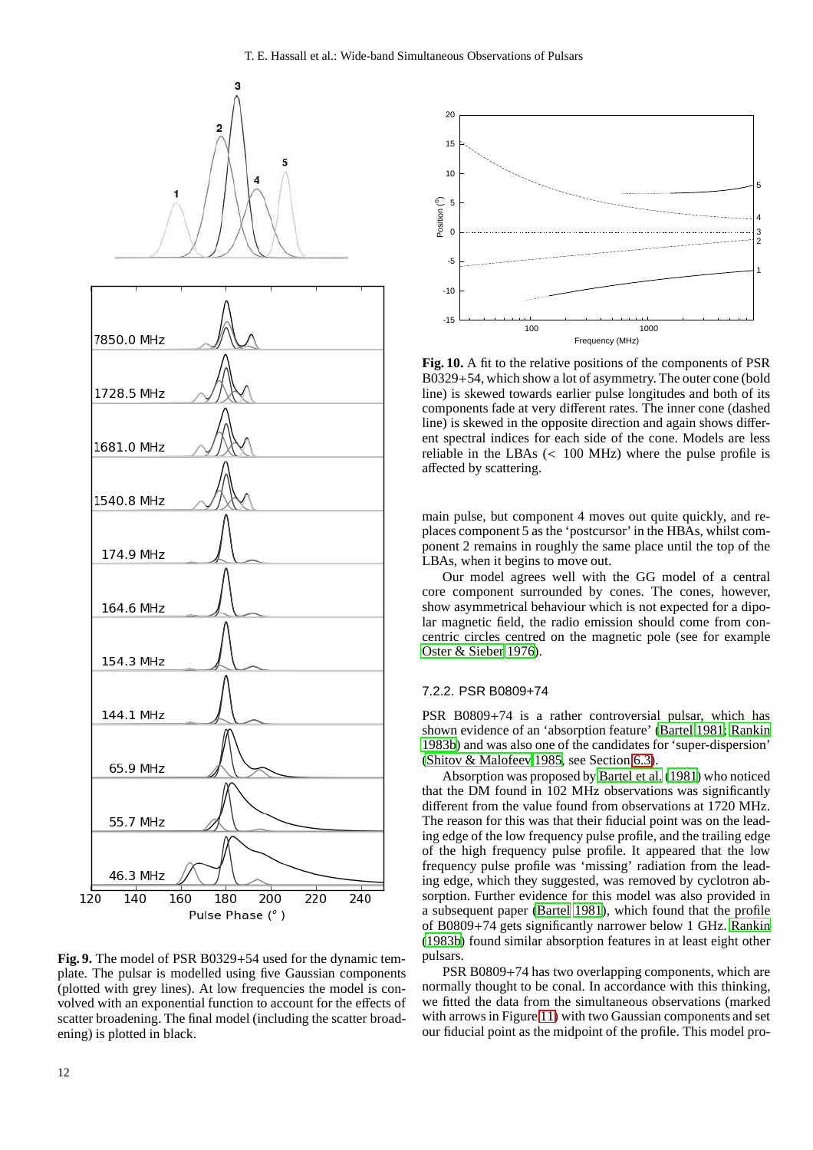

<span id="page-11-0"></span>**Fig. 9.** The model of PSR B0329+54 used for the dynamic template. The pulsar is modelled using five Gaussian components (plotted with grey lines). At low frequencies the model is convolved with an exponential function to account for the effects of scatter broadening. The final model (including the scatter broadening) is plotted in black.



<span id="page-11-1"></span>**Fig. 10.** A fit to the relative positions of the components of PSR B0329+54, which show a lot of asymmetry. The outer cone (bold line) is skewed towards earlier pulse longitudes and both of its components fade at very different rates. The inner cone (dashed line) is skewed in the opposite direction and again shows different spectral indices for each side of the cone. Models are less reliable in the LBAs (< 100 MHz) where the pulse profile is affected by scattering.

main pulse, but component 4 moves out quite quickly, and replaces component 5 as the 'postcursor' in the HBAs, whilst component 2 remains in roughly the same place until the top of the LBAs, when it begins to move out.

Our model agrees well with the GG model of a central core component surrounded by cones. The cones, however, show asymmetrical behaviour which is not expected for a dipolar magnetic field, the radio emission should come from concentric circles centred on the magnetic pole (see for example [Oster & Sieber 1976](#page-17-50)).

# 7.2.2. PSR B0809+74

PSR B0809+74 is a rather controversial pulsar, which has shown evidence of an 'absorption feature' [\(Bartel 1981;](#page-17-51) [Rankin](#page-17-52) [1983b\)](#page-17-52) and was also one of the candidates for 'super-dispersion' [\(Shitov & Malofeev 1985](#page-17-7), see Section [6.3\)](#page-9-3).

Absorption was proposed by [Bartel et al. \(1981\)](#page-17-53) who noticed that the DM found in 102 MHz observations was significantly different from the value found from observations at 1720 MHz. The reason for this was that their fiducial point was on the leading edge of the low frequency pulse profile, and the trailing edge of the high frequency pulse profile. It appeared that the low frequency pulse profile was 'missing' radiation from the leading edge, which they suggested, was removed by cyclotron absorption. Further evidence for this model was also provided in a subsequent paper [\(Bartel 1981\)](#page-17-51), which found that the profile of B0809+74 gets significantly narrower below 1 GHz. [Rankin](#page-17-52) [\(1983b](#page-17-52)) found similar absorption features in at least eight other pulsars.

PSR B0809+74 has two overlapping components, which are normally thought to be conal. In accordance with this thinking, we fitted the data from the simultaneous observations (marked with arrows in Figure [11\)](#page-12-0) with two Gaussian components and set our fiducial point as the midpoint of the profile. This model pro-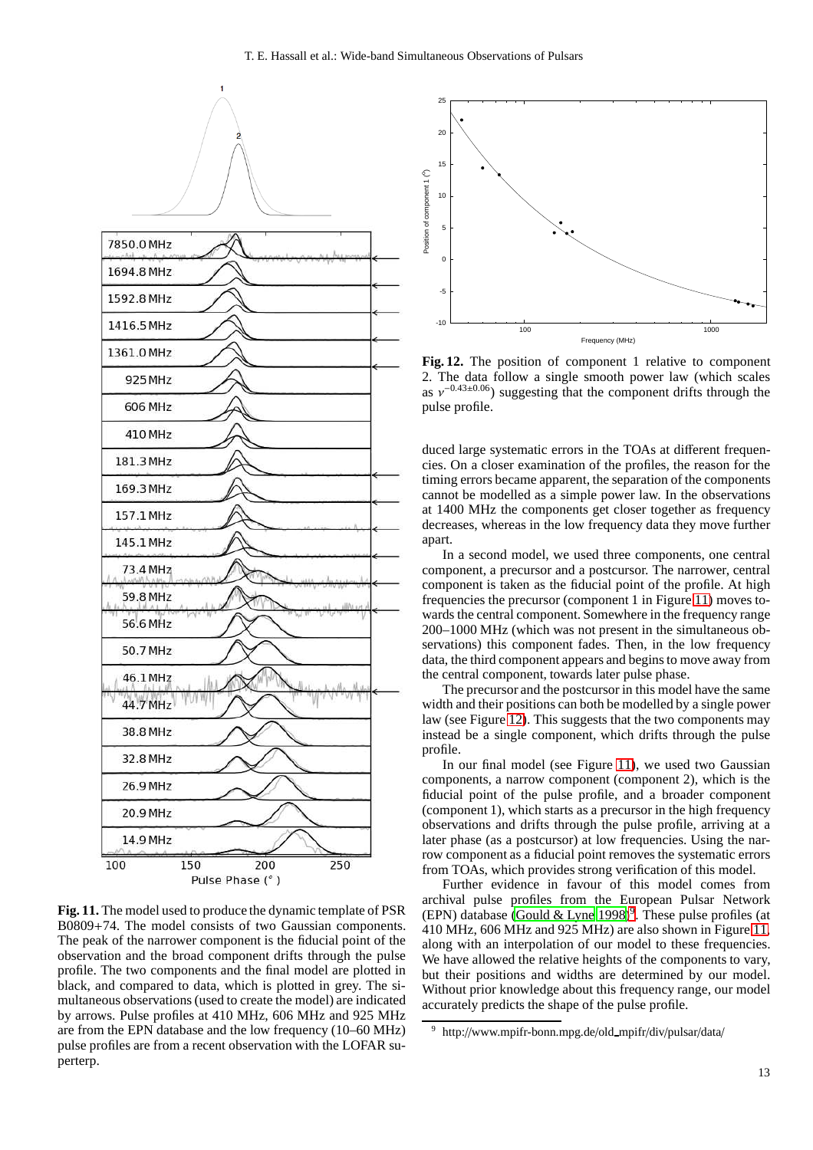

<span id="page-12-0"></span>**Fig. 11.** The model used to produce the dynamic template of PSR B0809+74. The model consists of two Gaussian components. The peak of the narrower component is the fiducial point of the observation and the broad component drifts through the pulse profile. The two components and the final model are plotted in black, and compared to data, which is plotted in grey. The simultaneous observations (used to create the model) are indicated by arrows. Pulse profiles at 410 MHz, 606 MHz and 925 MHz are from the EPN database and the low frequency (10–60 MHz) pulse profiles are from a recent observation with the LOFAR superterp.



<span id="page-12-1"></span>**Fig. 12.** The position of component 1 relative to component 2. The data follow a single smooth power law (which scales as  $v^{-0.43\pm0.06}$ ) suggesting that the component drifts through the pulse profile.

duced large systematic errors in the TOAs at different frequencies. On a closer examination of the profiles, the reason for the timing errors became apparent, the separation of the components cannot be modelled as a simple power law. In the observations at 1400 MHz the components get closer together as frequency decreases, whereas in the low frequency data they move further apart.

In a second model, we used three components, one central component, a precursor and a postcursor. The narrower, central component is taken as the fiducial point of the profile. At high frequencies the precursor (component 1 in Figure [11\)](#page-12-0) moves towards the central component. Somewhere in the frequency range 200–1000 MHz (which was not present in the simultaneous observations) this component fades. Then, in the low frequency data, the third component appears and begins to move away from the central component, towards later pulse phase.

The precursor and the postcursor in this model have the same width and their positions can both be modelled by a single power law (see Figure [12\)](#page-12-1). This suggests that the two components may instead be a single component, which drifts through the pulse profile.

In our final model (see Figure [11\)](#page-12-0), we used two Gaussian components, a narrow component (component 2), which is the fiducial point of the pulse profile, and a broader component (component 1), which starts as a precursor in the high frequency observations and drifts through the pulse profile, arriving at a later phase (as a postcursor) at low frequencies. Using the narrow component as a fiducial point removes the systematic errors from TOAs, which provides strong verification of this model.

Further evidence in favour of this model comes from archival pulse profiles from the European Pulsar Network (EPN) database [\(Gould & Lyne 1998\)](#page-17-28)<sup>[9](#page-12-2)</sup>. These pulse profiles (at 410 MHz, 606 MHz and 925 MHz) are also shown in Figure [11,](#page-12-0) along with an interpolation of our model to these frequencies. We have allowed the relative heights of the components to vary, but their positions and widths are determined by our model. Without prior knowledge about this frequency range, our model accurately predicts the shape of the pulse profile.

<span id="page-12-2"></span><sup>9</sup> http://www.mpifr-bonn.mpg.de/old mpifr/div/pulsar/data/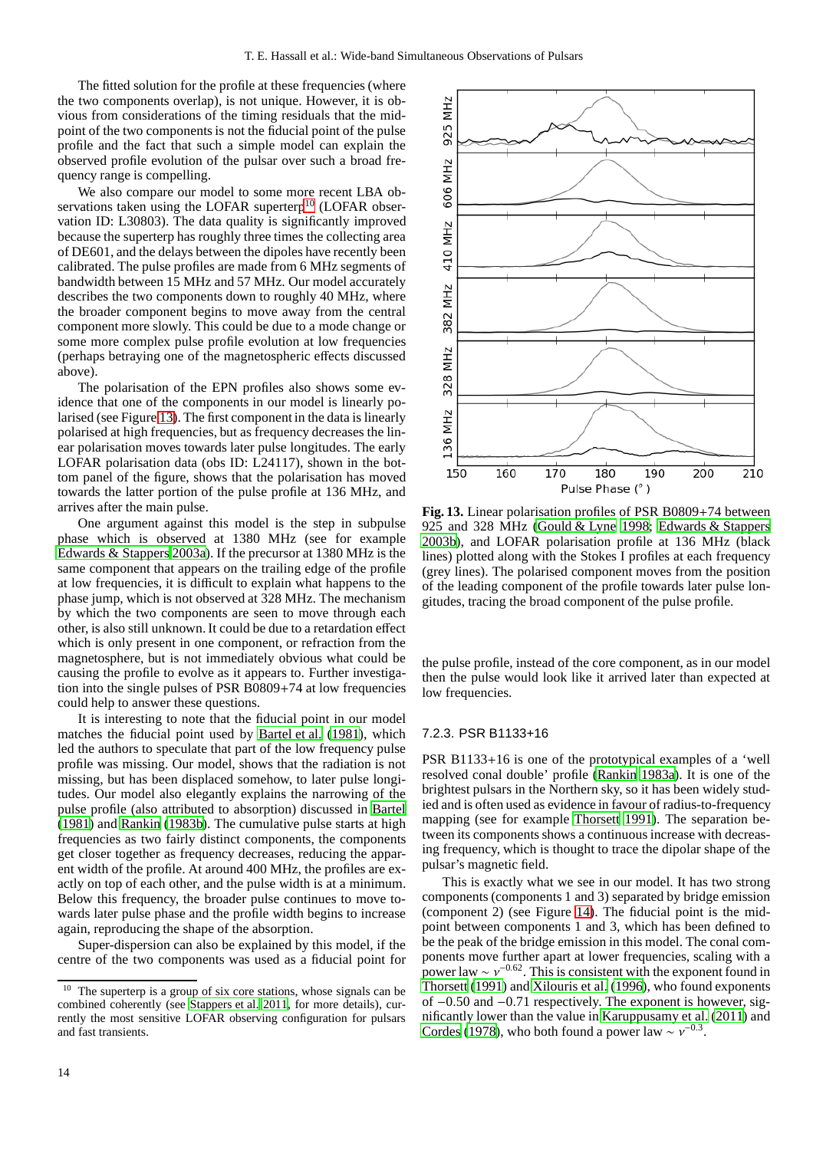The fitted solution for the profile at these frequencies (where the two components overlap), is not unique. However, it is obvious from considerations of the timing residuals that the midpoint of the two components is not the fiducial point of the pulse profile and the fact that such a simple model can explain the observed profile evolution of the pulsar over such a broad frequency range is compelling.

We also compare our model to some more recent LBA ob-servations taken using the LOFAR superterp<sup>[10](#page-13-0)</sup> (LOFAR observation ID: L30803). The data quality is significantly improved because the superterp has roughly three times the collecting area of DE601, and the delays between the dipoles have recently been calibrated. The pulse profiles are made from 6 MHz segments of bandwidth between 15 MHz and 57 MHz. Our model accurately describes the two components down to roughly 40 MHz, where the broader component begins to move away from the central component more slowly. This could be due to a mode change or some more complex pulse profile evolution at low frequencies (perhaps betraying one of the magnetospheric effects discussed above).

The polarisation of the EPN profiles also shows some evidence that one of the components in our model is linearly polarised (see Figure [13\)](#page-13-1). The first component in the data is linearly polarised at high frequencies, but as frequency decreases the linear polarisation moves towards later pulse longitudes. The early LOFAR polarisation data (obs ID: L24117), shown in the bottom panel of the figure, shows that the polarisation has moved towards the latter portion of the pulse profile at 136 MHz, and arrives after the main pulse.

One argument against this model is the step in subpulse phase which is observed at 1380 MHz (see for example [Edwards & Stappers 2003a\)](#page-17-54). If the precursor at 1380 MHz is the same component that appears on the trailing edge of the profile at low frequencies, it is difficult to explain what happens to the phase jump, which is not observed at 328 MHz. The mechanism by which the two components are seen to move through each other, is also still unknown. It could be due to a retardation effect which is only present in one component, or refraction from the magnetosphere, but is not immediately obvious what could be causing the profile to evolve as it appears to. Further investigation into the single pulses of PSR B0809+74 at low frequencies could help to answer these questions.

It is interesting to note that the fiducial point in our model matches the fiducial point used by [Bartel et al. \(1981\)](#page-17-53), which led the authors to speculate that part of the low frequency pulse profile was missing. Our model, shows that the radiation is not missing, but has been displaced somehow, to later pulse longitudes. Our model also elegantly explains the narrowing of the pulse profile (also attributed to absorption) discussed in [Bartel](#page-17-51) [\(1981\)](#page-17-51) and [Rankin \(1983b\)](#page-17-52). The cumulative pulse starts at high frequencies as two fairly distinct components, the components get closer together as frequency decreases, reducing the apparent width of the profile. At around 400 MHz, the profiles are exactly on top of each other, and the pulse width is at a minimum. Below this frequency, the broader pulse continues to move towards later pulse phase and the profile width begins to increase again, reproducing the shape of the absorption.

Super-dispersion can also be explained by this model, if the centre of the two components was used as a fiducial point for



<span id="page-13-1"></span>**Fig. 13.** Linear polarisation profiles of PSR B0809+74 between 925 and 328 MHz [\(Gould & Lyne 1998;](#page-17-28) [Edwards & Stappers](#page-17-55) [2003b\)](#page-17-55), and LOFAR polarisation profile at 136 MHz (black lines) plotted along with the Stokes I profiles at each frequency (grey lines). The polarised component moves from the position of the leading component of the profile towards later pulse longitudes, tracing the broad component of the pulse profile.

the pulse profile, instead of the core component, as in our model then the pulse would look like it arrived later than expected at low frequencies.

### 7.2.3. PSR B1133+16

PSR B1133+16 is one of the prototypical examples of a 'well resolved conal double' profile [\(Rankin 1983a\)](#page-17-41). It is one of the brightest pulsars in the Northern sky, so it has been widely studied and is often used as evidence in favour of radius-to-frequency mapping (see for example [Thorsett 1991](#page-17-56)). The separation between its components shows a continuous increase with decreasing frequency, which is thought to trace the dipolar shape of the pulsar's magnetic field.

This is exactly what we see in our model. It has two strong components (components 1 and 3) separated by bridge emission (component 2) (see Figure [14\)](#page-14-1). The fiducial point is the midpoint between components 1 and 3, which has been defined to be the peak of the bridge emission in this model. The conal components move further apart at lower frequencies, scaling with a power law  $\sim v^{-0.62}$ . This is consistent with the exponent found in [Thorsett](#page-17-56) [\(1991\)](#page-17-56) and [Xilouris et al. \(1996\)](#page-17-57), who found exponents of −0.50 and −0.71 respectively. The exponent is however, significantly lower than the value in [Karuppusamy et al. \(2011\)](#page-17-43) and [Cordes \(1978\)](#page-17-11), who both found a power law  $\sim \nu^{-0.3}$ .

<span id="page-13-0"></span> $10$  The superterp is a group of six core stations, whose signals can be combined coherently (see [Stappers et al. 2011](#page-17-25), for more details), currently the most sensitive LOFAR observing configuration for pulsars and fast transients.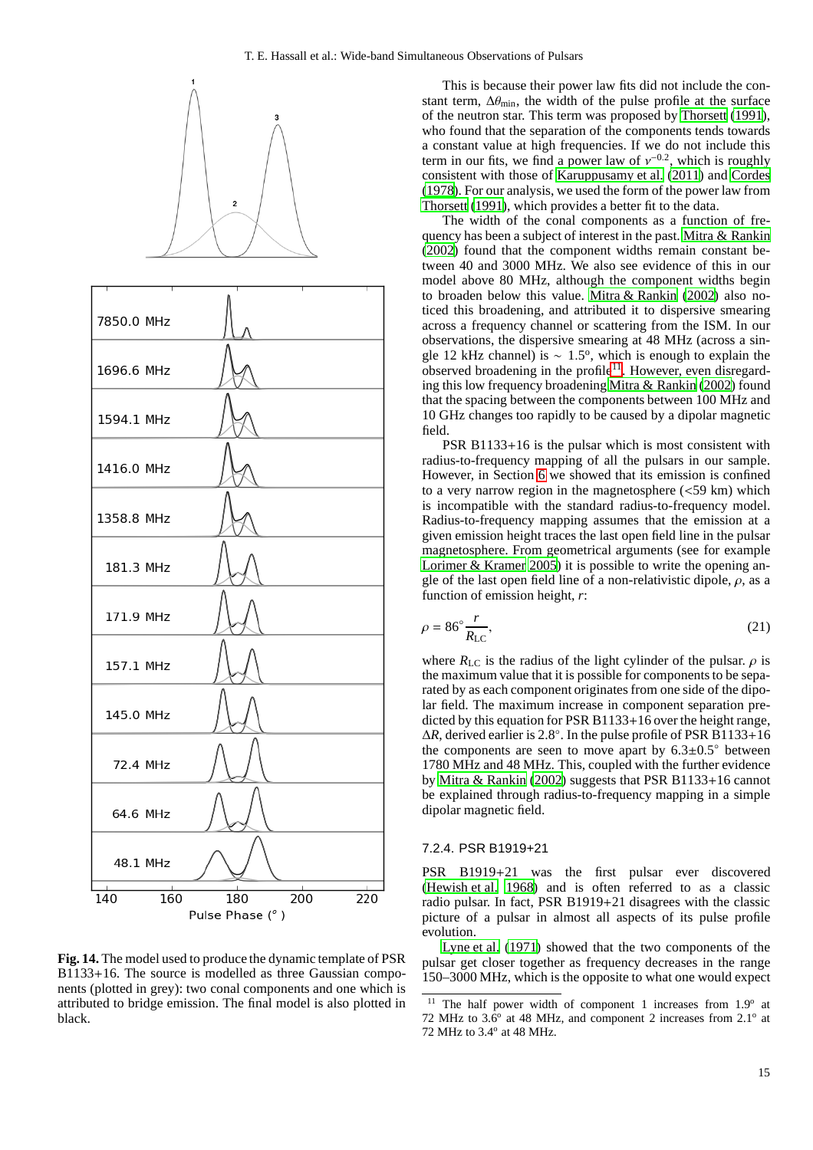

<span id="page-14-1"></span>**Fig. 14.** The model used to produce the dynamic template of PSR B1133+16. The source is modelled as three Gaussian components (plotted in grey): two conal components and one which is attributed to bridge emission. The final model is also plotted in black.

This is because their power law fits did not include the constant term,  $\Delta\theta_{\text{min}}$ , the width of the pulse profile at the surface of the neutron star. This term was proposed by [Thorsett \(1991\)](#page-17-56), who found that the separation of the components tends towards a constant value at high frequencies. If we do not include this term in our fits, we find a power law of  $v^{-0.2}$ , which is roughly consistent with those of [Karuppusamy et al. \(2011\)](#page-17-43) and [Cordes](#page-17-11) [\(1978](#page-17-11)). For our analysis, we used the form of the power law from [Thorsett \(1991\)](#page-17-56), which provides a better fit to the data.

The width of the conal components as a function of frequency has been a subject of interest in the past. [Mitra & Rankin](#page-17-58) [\(2002](#page-17-58)) found that the component widths remain constant between 40 and 3000 MHz. We also see evidence of this in our model above 80 MHz, although the component widths begin to broaden below this value. [Mitra & Rankin \(2002\)](#page-17-58) also noticed this broadening, and attributed it to dispersive smearing across a frequency channel or scattering from the ISM. In our observations, the dispersive smearing at 48 MHz (across a single 12 kHz channel) is  $\sim 1.5^\circ$ , which is enough to explain the  $\overline{\text{observed}}$  broadening in the profile<sup>[11](#page-14-2)</sup>. However, even disregarding this low frequency broadening [Mitra & Rankin \(2002\)](#page-17-58) found that the spacing between the components between 100 MHz and 10 GHz changes too rapidly to be caused by a dipolar magnetic field.

PSR B1133+16 is the pulsar which is most consistent with radius-to-frequency mapping of all the pulsars in our sample. However, in Section [6](#page-8-0) we showed that its emission is confined to a very narrow region in the magnetosphere  $(<59 \text{ km})$  which is incompatible with the standard radius-to-frequency model. Radius-to-frequency mapping assumes that the emission at a given emission height traces the last open field line in the pulsar magnetosphere. From geometrical arguments (see for example [Lorimer & Kramer 2005\)](#page-17-59) it is possible to write the opening angle of the last open field line of a non-relativistic dipole,  $\rho$ , as a function of emission height, *r*:

$$
\rho = 86^\circ \frac{r}{R_{\rm LC}},\tag{21}
$$

where  $R_{\text{LC}}$  is the radius of the light cylinder of the pulsar.  $\rho$  is the maximum value that it is possible for components to be separated by as each component originates from one side of the dipolar field. The maximum increase in component separation predicted by this equation for PSR B1133+16 over the height range, ∆*R*, derived earlier is 2.8◦ . In the pulse profile of PSR B1133+16 the components are seen to move apart by  $6.3\pm0.5^\circ$  between 1780 MHz and 48 MHz. This, coupled with the further evidence by [Mitra & Rankin \(2002](#page-17-58)) suggests that PSR B1133+16 cannot be explained through radius-to-frequency mapping in a simple dipolar magnetic field.

# <span id="page-14-0"></span>7.2.4. PSR B1919+21

PSR B1919+21 was the first pulsar ever discovered [\(Hewish et al. 1968\)](#page-17-60) and is often referred to as a classic radio pulsar. In fact, PSR B1919+21 disagrees with the classic picture of a pulsar in almost all aspects of its pulse profile evolution.

[Lyne et al.](#page-17-61) [\(1971\)](#page-17-61) showed that the two components of the pulsar get closer together as frequency decreases in the range 150–3000 MHz, which is the opposite to what one would expect

<span id="page-14-2"></span><sup>&</sup>lt;sup>11</sup> The half power width of component 1 increases from  $1.9^\circ$  at 72 MHz to  $3.6^{\circ}$  at 48 MHz, and component 2 increases from  $2.1^{\circ}$  at 72 MHz to 3.4<sup>o</sup> at 48 MHz.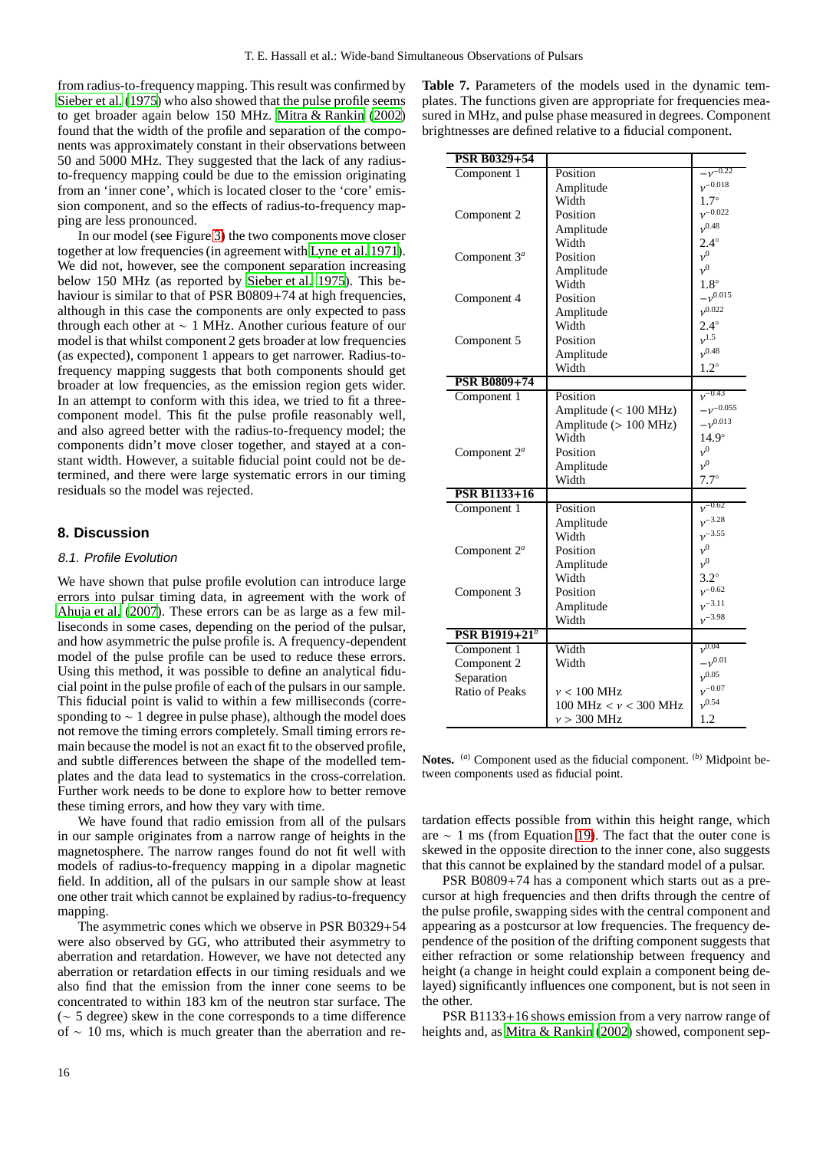from radius-to-frequency mapping. This result was confirmed by [Sieber et al. \(1975\)](#page-17-62) who also showed that the pulse profile seems to get broader again below 150 MHz. [Mitra & Rankin](#page-17-58) [\(2002\)](#page-17-58) found that the width of the profile and separation of the components was approximately constant in their observations between 50 and 5000 MHz. They suggested that the lack of any radiusto-frequency mapping could be due to the emission originating from an 'inner cone', which is located closer to the 'core' emission component, and so the effects of radius-to-frequency mapping are less pronounced.

In our model (see Figure [3\)](#page-18-0) the two components move closer together at low frequencies (in agreement with [Lyne et al. 1971](#page-17-61)). We did not, however, see the component separation increasing below 150 MHz (as reported by [Sieber et al. 1975\)](#page-17-62). This behaviour is similar to that of PSR B0809+74 at high frequencies, although in this case the components are only expected to pass through each other at ∼ 1 MHz. Another curious feature of our model is that whilst component 2 gets broader at low frequencies (as expected), component 1 appears to get narrower. Radius-tofrequency mapping suggests that both components should get broader at low frequencies, as the emission region gets wider. In an attempt to conform with this idea, we tried to fit a threecomponent model. This fit the pulse profile reasonably well, and also agreed better with the radius-to-frequency model; the components didn't move closer together, and stayed at a constant width. However, a suitable fiducial point could not be determined, and there were large systematic errors in our timing residuals so the model was rejected.

# <span id="page-15-0"></span>**8. Discussion**

### 8.1. Profile Evolution

We have shown that pulse profile evolution can introduce large errors into pulsar timing data, in agreement with the work of [Ahuja et al. \(2007\)](#page-17-17). These errors can be as large as a few milliseconds in some cases, depending on the period of the pulsar, and how asymmetric the pulse profile is. A frequency-dependent model of the pulse profile can be used to reduce these errors. Using this method, it was possible to define an analytical fiducial point in the pulse profile of each of the pulsars in our sample. This fiducial point is valid to within a few milliseconds (corresponding to ∼ 1 degree in pulse phase), although the model does not remove the timing errors completely. Small timing errors remain because the model is not an exact fit to the observed profile, and subtle differences between the shape of the modelled templates and the data lead to systematics in the cross-correlation. Further work needs to be done to explore how to better remove these timing errors, and how they vary with time.

We have found that radio emission from all of the pulsars in our sample originates from a narrow range of heights in the magnetosphere. The narrow ranges found do not fit well with models of radius-to-frequency mapping in a dipolar magnetic field. In addition, all of the pulsars in our sample show at least one other trait which cannot be explained by radius-to-frequency mapping.

The asymmetric cones which we observe in PSR B0329+54 were also observed by GG, who attributed their asymmetry to aberration and retardation. However, we have not detected any aberration or retardation effects in our timing residuals and we also find that the emission from the inner cone seems to be concentrated to within 183 km of the neutron star surface. The (∼ 5 degree) skew in the cone corresponds to a time difference of ∼ 10 ms, which is much greater than the aberration and re<span id="page-15-1"></span>**Table 7.** Parameters of the models used in the dynamic templates. The functions given are appropriate for frequencies measured in MHz, and pulse phase measured in degrees. Component brightnesses are defined relative to a fiducial component.

| <b>PSR B0329+54</b>              |                          |                |
|----------------------------------|--------------------------|----------------|
| Component 1                      | Position                 | $-\nu^{-0.22}$ |
|                                  | Amplitude                | $v^{-0.018}$   |
|                                  | Width                    | $1.7^\circ$    |
| Component 2                      | Position                 | $v^{-0.022}$   |
|                                  | Amplitude                | $v^{0.48}$     |
|                                  | Width                    | $2.4^\circ$    |
| Component $3^a$                  | Position                 | $v^0$          |
|                                  | Amplitude                | $v^0$          |
|                                  | Width                    | $1.8^\circ$    |
| Component 4                      | Position                 | $-v^{0.015}$   |
|                                  | Amplitude                | $v^{0.022}$    |
|                                  | Width                    | $2.4^\circ$    |
| Component 5                      | Position                 | $v^{1.5}$      |
|                                  | Amplitude                | $v^{0.48}$     |
|                                  | Width                    | $1.2^\circ$    |
| <b>PSR B0809+74</b>              |                          |                |
| Component 1                      | Position                 | $v^{-0.43}$    |
|                                  | Amplitude (< 100 MHz)    | $-v^{-0.055}$  |
|                                  | Amplitude (> 100 MHz)    | $-v^{0.013}$   |
|                                  | Width                    | $14.9^\circ$   |
| Component $2^a$                  | Position                 | $v^0$          |
|                                  | Amplitude                | $v^0$          |
|                                  | Width                    | $7.7^\circ$    |
| <b>PSR B1133+16</b>              |                          |                |
| Component 1                      | Position                 | $v^{-0.62}$    |
|                                  | Amplitude                | $v^{-3.28}$    |
|                                  | Width                    | $v^{-3.55}$    |
| Component $2^a$                  | Position                 | $v^0$          |
|                                  | Amplitude                | $v^0$          |
|                                  | Width                    | $3.2^\circ$    |
| Component 3                      | Position                 | $v^{-0.62}$    |
|                                  | Amplitude                | $v^{-3.11}$    |
|                                  | Width                    | $v^{-3.98}$    |
| <b>PSR B1919+21</b> <sup>b</sup> |                          |                |
| Component 1                      | Width                    | $v^{0.04}$     |
| Component 2                      | Width                    | $-v^{0.01}$    |
| Separation                       |                          | $v^{0.05}$     |
| Ratio of Peaks                   | $\nu < 100~\mathrm{MHz}$ | $v^{-0.07}$    |
|                                  | 100 MHz $< v < 300$ MHz  | $v^{0.54}$     |
|                                  | $v > 300$ MHz            | 1.2            |

**Notes.** (*a*) Component used as the fiducial component. (*b*) Midpoint between components used as fiducial point.

tardation effects possible from within this height range, which are ∼ 1 ms (from Equation [19\)](#page-8-1). The fact that the outer cone is skewed in the opposite direction to the inner cone, also suggests that this cannot be explained by the standard model of a pulsar.

PSR B0809+74 has a component which starts out as a precursor at high frequencies and then drifts through the centre of the pulse profile, swapping sides with the central component and appearing as a postcursor at low frequencies. The frequency dependence of the position of the drifting component suggests that either refraction or some relationship between frequency and height (a change in height could explain a component being delayed) significantly influences one component, but is not seen in the other.

PSR B1133+16 shows emission from a very narrow range of heights and, as [Mitra & Rankin](#page-17-58) [\(2002\)](#page-17-58) showed, component sep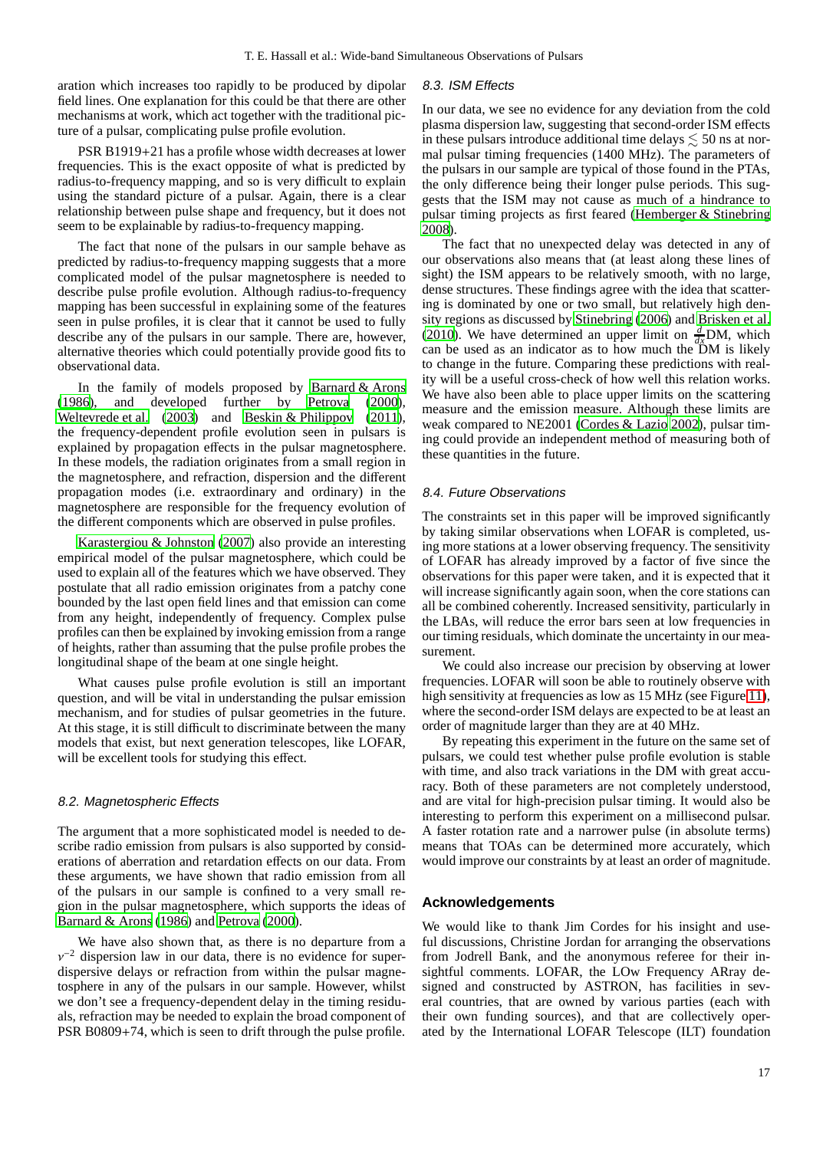aration which increases too rapidly to be produced by dipolar field lines. One explanation for this could be that there are other mechanisms at work, which act together with the traditional picture of a pulsar, complicating pulse profile evolution.

PSR B1919+21 has a profile whose width decreases at lower frequencies. This is the exact opposite of what is predicted by radius-to-frequency mapping, and so is very difficult to explain using the standard picture of a pulsar. Again, there is a clear relationship between pulse shape and frequency, but it does not seem to be explainable by radius-to-frequency mapping.

The fact that none of the pulsars in our sample behave as predicted by radius-to-frequency mapping suggests that a more complicated model of the pulsar magnetosphere is needed to describe pulse profile evolution. Although radius-to-frequency mapping has been successful in explaining some of the features seen in pulse profiles, it is clear that it cannot be used to fully describe any of the pulsars in our sample. There are, however, alternative theories which could potentially provide good fits to observational data.

In the family of models proposed by Barnard  $&$  Arons [\(1986\)](#page-17-47), and developed further by [Petrova \(2000](#page-17-63)), [Weltevrede et al. \(2003\)](#page-17-64) and [Beskin & Philippov \(2011](#page-17-65)), the frequency-dependent profile evolution seen in pulsars is explained by propagation effects in the pulsar magnetosphere. In these models, the radiation originates from a small region in the magnetosphere, and refraction, dispersion and the different propagation modes (i.e. extraordinary and ordinary) in the magnetosphere are responsible for the frequency evolution of the different components which are observed in pulse profiles.

[Karastergiou & Johnston \(2007](#page-17-66)) also provide an interesting empirical model of the pulsar magnetosphere, which could be used to explain all of the features which we have observed. They postulate that all radio emission originates from a patchy cone bounded by the last open field lines and that emission can come from any height, independently of frequency. Complex pulse profiles can then be explained by invoking emission from a range of heights, rather than assuming that the pulse profile probes the longitudinal shape of the beam at one single height.

What causes pulse profile evolution is still an important question, and will be vital in understanding the pulsar emission mechanism, and for studies of pulsar geometries in the future. At this stage, it is still difficult to discriminate between the many models that exist, but next generation telescopes, like LOFAR, will be excellent tools for studying this effect.

### 8.2. Magnetospheric Effects

The argument that a more sophisticated model is needed to describe radio emission from pulsars is also supported by considerations of aberration and retardation effects on our data. From these arguments, we have shown that radio emission from all of the pulsars in our sample is confined to a very small region in the pulsar magnetosphere, which supports the ideas of [Barnard & Arons \(1986](#page-17-47)) and [Petrova](#page-17-63) [\(2000\)](#page-17-63).

We have also shown that, as there is no departure from a  $v^{-2}$  dispersion law in our data, there is no evidence for superdispersive delays or refraction from within the pulsar magnetosphere in any of the pulsars in our sample. However, whilst we don't see a frequency-dependent delay in the timing residuals, refraction may be needed to explain the broad component of PSR B0809+74, which is seen to drift through the pulse profile.

### 8.3. ISM Effects

In our data, we see no evidence for any deviation from the cold plasma dispersion law, suggesting that second-order ISM effects in these pulsars introduce additional time delays  $\leq 50$  ns at normal pulsar timing frequencies (1400 MHz). The parameters of the pulsars in our sample are typical of those found in the PTAs, the only difference being their longer pulse periods. This suggests that the ISM may not cause as much of a hindrance to pulsar timing projects as first feared [\(Hemberger & Stinebring](#page-17-5) [2008\)](#page-17-5).

The fact that no unexpected delay was detected in any of our observations also means that (at least along these lines of sight) the ISM appears to be relatively smooth, with no large, dense structures. These findings agree with the idea that scattering is dominated by one or two small, but relatively high density regions as discussed by [Stinebring \(2006\)](#page-17-35) and [Brisken et al.](#page-17-36) [\(2010](#page-17-36)). We have determined an upper limit on  $\frac{d}{dx}$ DM, which can be used as an indicator as to how much the  $\tilde{D}M$  is likely to change in the future. Comparing these predictions with reality will be a useful cross-check of how well this relation works. We have also been able to place upper limits on the scattering measure and the emission measure. Although these limits are weak compared to NE2001 [\(Cordes & Lazio 2002](#page-17-33)), pulsar timing could provide an independent method of measuring both of these quantities in the future.

### 8.4. Future Observations

The constraints set in this paper will be improved significantly by taking similar observations when LOFAR is completed, using more stations at a lower observing frequency. The sensitivity of LOFAR has already improved by a factor of five since the observations for this paper were taken, and it is expected that it will increase significantly again soon, when the core stations can all be combined coherently. Increased sensitivity, particularly in the LBAs, will reduce the error bars seen at low frequencies in our timing residuals, which dominate the uncertainty in our measurement.

We could also increase our precision by observing at lower frequencies. LOFAR will soon be able to routinely observe with high sensitivity at frequencies as low as 15 MHz (see Figure [11\)](#page-12-0), where the second-order ISM delays are expected to be at least an order of magnitude larger than they are at 40 MHz.

By repeating this experiment in the future on the same set of pulsars, we could test whether pulse profile evolution is stable with time, and also track variations in the DM with great accuracy. Both of these parameters are not completely understood, and are vital for high-precision pulsar timing. It would also be interesting to perform this experiment on a millisecond pulsar. A faster rotation rate and a narrower pulse (in absolute terms) means that TOAs can be determined more accurately, which would improve our constraints by at least an order of magnitude.

# **Acknowledgements**

We would like to thank Jim Cordes for his insight and useful discussions, Christine Jordan for arranging the observations from Jodrell Bank, and the anonymous referee for their insightful comments. LOFAR, the LOw Frequency ARray designed and constructed by ASTRON, has facilities in several countries, that are owned by various parties (each with their own funding sources), and that are collectively operated by the International LOFAR Telescope (ILT) foundation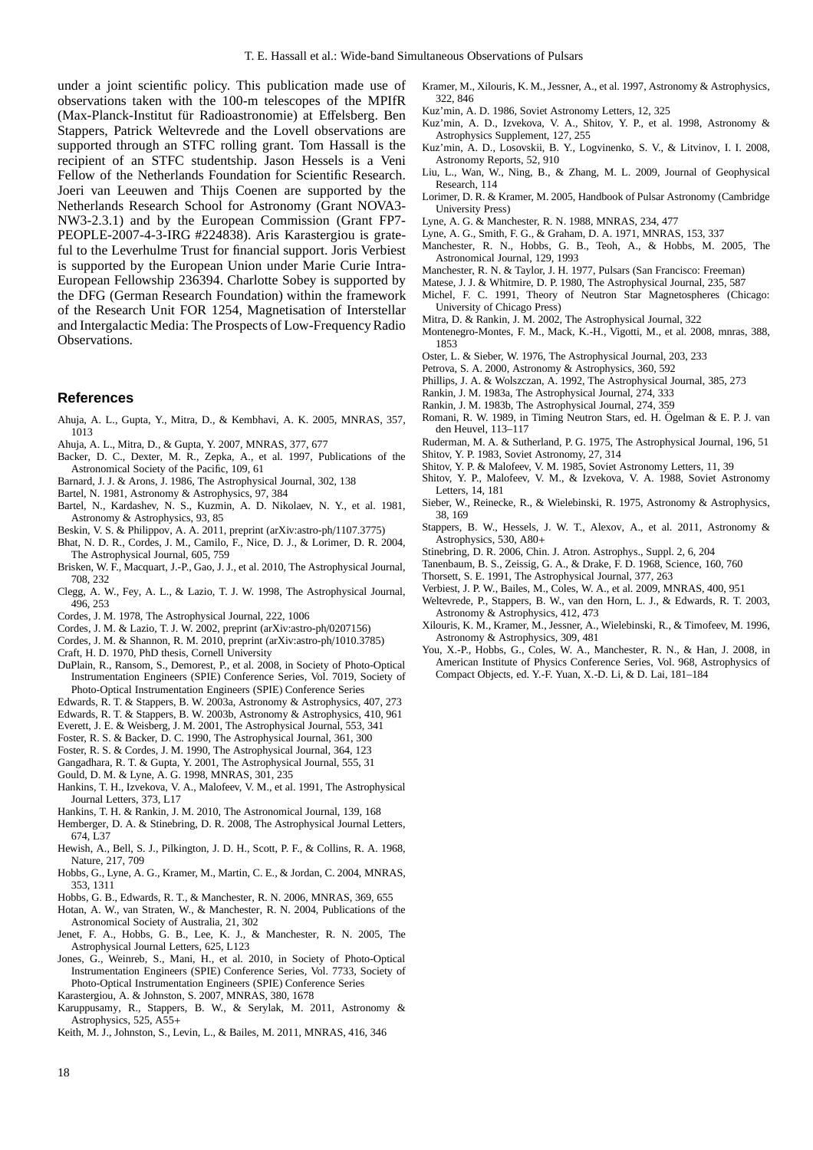under a joint scientific policy. This publication made use of observations taken with the 100-m telescopes of the MPIfR (Max-Planck-Institut für Radioastronomie) at Effelsberg. Ben Stappers, Patrick Weltevrede and the Lovell observations are supported through an STFC rolling grant. Tom Hassall is the recipient of an STFC studentship. Jason Hessels is a Veni Fellow of the Netherlands Foundation for Scientific Research. Joeri van Leeuwen and Thijs Coenen are supported by the Netherlands Research School for Astronomy (Grant NOVA3- NW3-2.3.1) and by the European Commission (Grant FP7- PEOPLE-2007-4-3-IRG #224838). Aris Karastergiou is grateful to the Leverhulme Trust for financial support. Joris Verbiest is supported by the European Union under Marie Curie Intra-European Fellowship 236394. Charlotte Sobey is supported by the DFG (German Research Foundation) within the framework of the Research Unit FOR 1254, Magnetisation of Interstellar and Intergalactic Media: The Prospects of Low-Frequency Radio Observations.

### **References**

- <span id="page-17-23"></span>Ahuja, A. L., Gupta, Y., Mitra, D., & Kembhavi, A. K. 2005, MNRAS, 357, 1013
- <span id="page-17-17"></span>Ahuja, A. L., Mitra, D., & Gupta, Y. 2007, MNRAS, 377, 677
- <span id="page-17-26"></span>Backer, D. C., Dexter, M. R., Zepka, A., et al. 1997, Publications of the Astronomical Society of the Pacific, 109, 61
- <span id="page-17-47"></span>Barnard, J. J. & Arons, J. 1986, The Astrophysical Journal, 302, 138
- <span id="page-17-51"></span>Bartel, N. 1981, Astronomy & Astrophysics, 97, 384
- <span id="page-17-53"></span>Bartel, N., Kardashev, N. S., Kuzmin, A. D. Nikolaev, N. Y., et al. 1981, Astronomy & Astrophysics, 93, 85
- <span id="page-17-65"></span>Beskin, V. S. & Philippov, A. A. 2011, preprint (arXiv:astro-ph/1107.3775)
- <span id="page-17-38"></span>Bhat, N. D. R., Cordes, J. M., Camilo, F., Nice, D. J., & Lorimer, D. R. 2004, The Astrophysical Journal, 605, 759
- <span id="page-17-36"></span>Brisken, W. F., Macquart, J.-P., Gao, J. J., et al. 2010, The Astrophysical Journal, 708, 232
- <span id="page-17-34"></span>Clegg, A. W., Fey, A. L., & Lazio, T. J. W. 1998, The Astrophysical Journal, 496, 253
- <span id="page-17-11"></span>Cordes, J. M. 1978, The Astrophysical Journal, 222, 1006
- <span id="page-17-33"></span>Cordes, J. M. & Lazio, T. J. W. 2002, preprint (arXiv:astro-ph/0207156)
- <span id="page-17-3"></span>Cordes, J. M. & Shannon, R. M. 2010, preprint (arXiv:astro-ph/1010.3785)
- <span id="page-17-13"></span>Craft, H. D. 1970, PhD thesis, Cornell University
- <span id="page-17-19"></span>DuPlain, R., Ransom, S., Demorest, P., et al. 2008, in Society of Photo-Optical Instrumentation Engineers (SPIE) Conference Series, Vol. 7019, Society of Photo-Optical Instrumentation Engineers (SPIE) Conference Series
- <span id="page-17-54"></span>Edwards, R. T. & Stappers, B. W. 2003a, Astronomy & Astrophysics, 407, 273
- <span id="page-17-55"></span>Edwards, R. T. & Stappers, B. W. 2003b, Astronomy & Astrophysics, 410, 961
- <span id="page-17-46"></span>Everett, J. E. & Weisberg, J. M. 2001, The Astrophysical Journal, 553, 341
- <span id="page-17-32"></span>Foster, R. S. & Backer, D. C. 1990, The Astrophysical Journal, 361, 300
- <span id="page-17-2"></span>Foster, R. S. & Cordes, J. M. 1990, The Astrophysical Journal, 364, 123
- <span id="page-17-48"></span>Gangadhara, R. T. & Gupta, Y. 2001, The Astrophysical Journal, 555, 31
- <span id="page-17-28"></span>Gould, D. M. & Lyne, A. G. 1998, MNRAS, 301, 235
- <span id="page-17-21"></span>Hankins, T. H., Izvekova, V. A., Malofeev, V. M., et al. 1991, The Astrophysical Journal Letters, 373, L17
- <span id="page-17-16"></span>Hankins, T. H. & Rankin, J. M. 2010, The Astronomical Journal, 139, 168
- <span id="page-17-5"></span>Hemberger, D. A. & Stinebring, D. R. 2008, The Astrophysical Journal Letters, 674, L37
- <span id="page-17-60"></span>Hewish, A., Bell, S. J., Pilkington, J. D. H., Scott, P. F., & Collins, R. A. 1968, Nature, 217, 709
- <span id="page-17-24"></span>Hobbs, G., Lyne, A. G., Kramer, M., Martin, C. E., & Jordan, C. 2004, MNRAS, 353, 1311
- <span id="page-17-30"></span>Hobbs, G. B., Edwards, R. T., & Manchester, R. N. 2006, MNRAS, 369, 655
- <span id="page-17-29"></span>Hotan, A. W., van Straten, W., & Manchester, R. N. 2004, Publications of the Astronomical Society of Australia, 21, 302
- <span id="page-17-1"></span>Jenet, F. A., Hobbs, G. B., Lee, K. J., & Manchester, R. N. 2005, The Astrophysical Journal Letters, 625, L123
- <span id="page-17-20"></span>Jones, G., Weinreb, S., Mani, H., et al. 2010, in Society of Photo-Optical Instrumentation Engineers (SPIE) Conference Series, Vol. 7733, Society of Photo-Optical Instrumentation Engineers (SPIE) Conference Series Karastergiou, A. & Johnston, S. 2007, MNRAS, 380, 1678
- <span id="page-17-66"></span>
- <span id="page-17-43"></span>Karuppusamy, R., Stappers, B. W., & Serylak, M. 2011, Astronomy & Astrophysics, 525, A55+
- <span id="page-17-49"></span>Keith, M. J., Johnston, S., Levin, L., & Bailes, M. 2011, MNRAS, 416, 346
- <span id="page-17-44"></span>Kramer, M., Xilouris, K. M., Jessner, A., et al. 1997, Astronomy & Astrophysics, 322, 846
- <span id="page-17-8"></span>Kuz'min, A. D. 1986, Soviet Astronomy Letters, 12, 325
- <span id="page-17-15"></span>Kuz'min, A. D., Izvekova, V. A., Shitov, Y. P., et al. 1998, Astronomy & Astrophysics Supplement, 127, 255
- <span id="page-17-10"></span>Kuz'min, A. D., Losovskii, B. Y., Logvinenko, S. V., & Litvinov, I. I. 2008, Astronomy Reports, 52, 910
- <span id="page-17-12"></span>Liu, L., Wan, W., Ning, B., & Zhang, M. L. 2009, Journal of Geophysical Research, 114
- <span id="page-17-59"></span>Lorimer, D. R. & Kramer, M. 2005, Handbook of Pulsar Astronomy (Cambridge University Press)
- <span id="page-17-45"></span>Lyne, A. G. & Manchester, R. N. 1988, MNRAS, 234, 477
- <span id="page-17-61"></span>Lyne, A. G., Smith, F. G., & Graham, D. A. 1971, MNRAS, 153, 337
- <span id="page-17-37"></span>Manchester, R. N., Hobbs, G. B., Teoh, A., & Hobbs, M. 2005, The Astronomical Journal, 129, 1993
- <span id="page-17-40"></span>Manchester, R. N. & Taylor, J. H. 1977, Pulsars (San Francisco: Freeman)
- <span id="page-17-42"></span>Matese, J. J. & Whitmire, D. P. 1980, The Astrophysical Journal, 235, 587
- <span id="page-17-6"></span>Michel, F. C. 1991, Theory of Neutron Star Magnetospheres (Chicago: University of Chicago Press)
- <span id="page-17-58"></span>Mitra, D. & Rankin, J. M. 2002, The Astrophysical Journal, 322
- <span id="page-17-27"></span>Montenegro-Montes, F. M., Mack, K.-H., Vigotti, M., et al. 2008, mnras, 388, 1853
- <span id="page-17-50"></span>Oster, L. & Sieber, W. 1976, The Astrophysical Journal, 203, 233
- <span id="page-17-63"></span>Petrova, S. A. 2000, Astronomy & Astrophysics, 360, 592
- <span id="page-17-14"></span>Phillips, J. A. & Wolszczan, A. 1992, The Astrophysical Journal, 385, 273
- <span id="page-17-41"></span>Rankin, J. M. 1983a, The Astrophysical Journal, 274, 333
- <span id="page-17-52"></span>Rankin, J. M. 1983b, The Astrophysical Journal, 274, 359
- <span id="page-17-31"></span>Romani, R. W. 1989, in Timing Neutron Stars, ed. H. Ogelman & E. P. J. van ¨ den Heuvel, 113–117
- <span id="page-17-39"></span>Ruderman, M. A. & Sutherland, P. G. 1975, The Astrophysical Journal, 196, 51
- <span id="page-17-22"></span>Shitov, Y. P. 1983, Soviet Astronomy, 27, 314
- <span id="page-17-7"></span>Shitov, Y. P. & Malofeev, V. M. 1985, Soviet Astronomy Letters, 11, 39
- <span id="page-17-9"></span>Shitov, Y. P., Malofeev, V. M., & Izvekova, V. A. 1988, Soviet Astronomy Letters, 14, 181
- <span id="page-17-62"></span>Sieber, W., Reinecke, R., & Wielebinski, R. 1975, Astronomy & Astrophysics, 38, 169
- <span id="page-17-25"></span>Stappers, B. W., Hessels, J. W. T., Alexov, A., et al. 2011, Astronomy & Astrophysics, 530, A80+
- <span id="page-17-35"></span>Stinebring, D. R. 2006, Chin. J. Atron. Astrophys., Suppl. 2, 6, 204
- <span id="page-17-0"></span>Tanenbaum, B. S., Zeissig, G. A., & Drake, F. D. 1968, Science, 160, 760
- <span id="page-17-56"></span>Thorsett, S. E. 1991, The Astrophysical Journal, 377, 263
- <span id="page-17-18"></span>Verbiest, J. P. W., Bailes, M., Coles, W. A., et al. 2009, MNRAS, 400, 951
- <span id="page-17-64"></span>Weltevrede, P., Stappers, B. W., van den Horn, L. J., & Edwards, R. T. 2003, Astronomy & Astrophysics, 412, 473
- <span id="page-17-57"></span>Xilouris, K. M., Kramer, M., Jessner, A., Wielebinski, R., & Timofeev, M. 1996, Astronomy & Astrophysics, 309, 481
- <span id="page-17-4"></span>You, X.-P., Hobbs, G., Coles, W. A., Manchester, R. N., & Han, J. 2008, in American Institute of Physics Conference Series, Vol. 968, Astrophysics of Compact Objects, ed. Y.-F. Yuan, X.-D. Li, & D. Lai, 181–184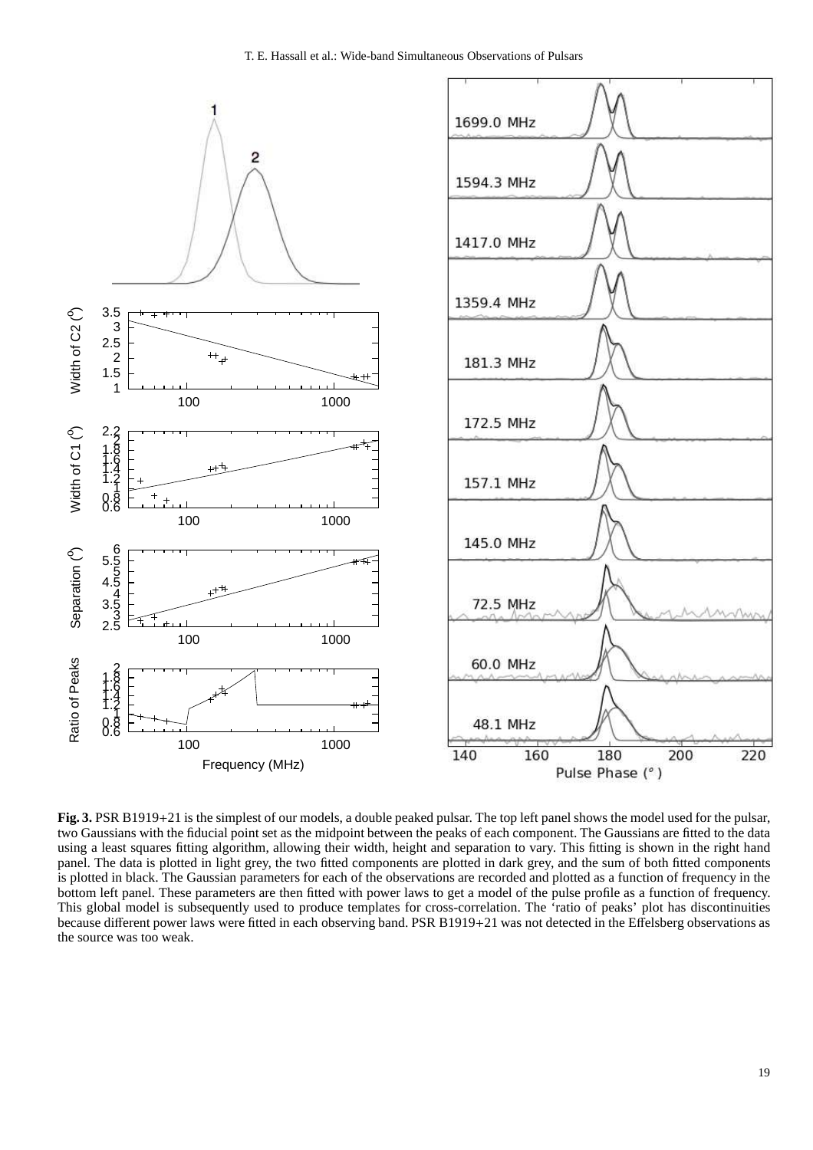

<span id="page-18-0"></span>**Fig. 3.** PSR B1919+21 is the simplest of our models, a double peaked pulsar. The top left panel shows the model used for the pulsar, two Gaussians with the fiducial point set as the midpoint between the peaks of each component. The Gaussians are fitted to the data using a least squares fitting algorithm, allowing their width, height and separation to vary. This fitting is shown in the right hand panel. The data is plotted in light grey, the two fitted components are plotted in dark grey, and the sum of both fitted components is plotted in black. The Gaussian parameters for each of the observations are recorded and plotted as a function of frequency in the bottom left panel. These parameters are then fitted with power laws to get a model of the pulse profile as a function of frequency. This global model is subsequently used to produce templates for cross-correlation. The 'ratio of peaks' plot has discontinuities because different power laws were fitted in each observing band. PSR B1919+21 was not detected in the Effelsberg observations as the source was too weak.